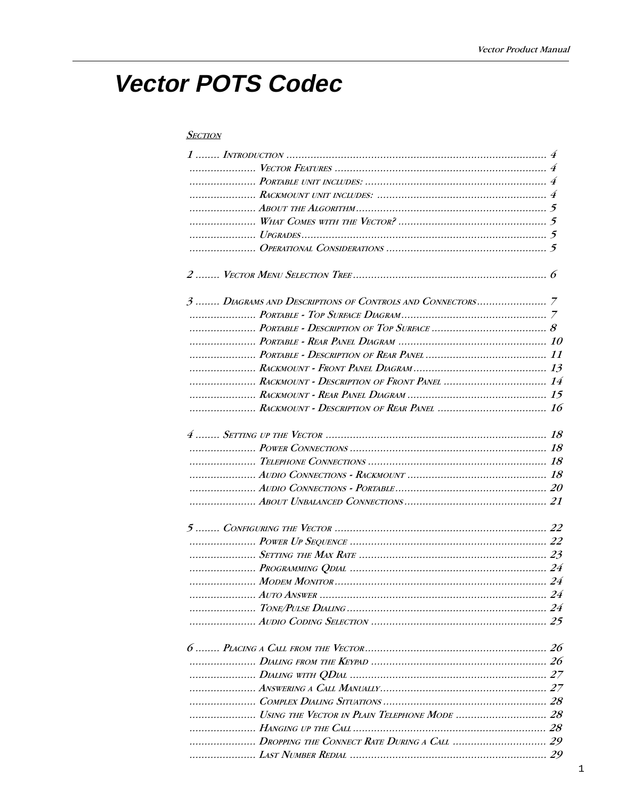# **Vector POTS Codec**

### **SECTION**

| $1.1.1$ $1.5.5$ $1.1.1$ $1.1.0$ $1.1.0$ $1.1.0$ $1.1.0$ $1.1.0$ $1.1.0$ $1.1.0$ $1.1.0$ $1.1.0$ $1.1.0$ $1.1.0$ $1.1.0$ $1.1.0$ $1.1.0$ $1.1.0$ $1.1.0$ $1.1.0$ $1.1.0$ $1.1.0$ $1.1.0$ $1.1.0$ $1.1.0$ $1.1.0$ $1.1.0$ $1.1.$ |  |
|--------------------------------------------------------------------------------------------------------------------------------------------------------------------------------------------------------------------------------|--|
|                                                                                                                                                                                                                                |  |
|                                                                                                                                                                                                                                |  |
|                                                                                                                                                                                                                                |  |
|                                                                                                                                                                                                                                |  |
|                                                                                                                                                                                                                                |  |
|                                                                                                                                                                                                                                |  |
|                                                                                                                                                                                                                                |  |
|                                                                                                                                                                                                                                |  |
|                                                                                                                                                                                                                                |  |
|                                                                                                                                                                                                                                |  |
| RACKMOUNT - DESCRIPTION OF FRONT PANEL  14                                                                                                                                                                                     |  |
|                                                                                                                                                                                                                                |  |
|                                                                                                                                                                                                                                |  |
|                                                                                                                                                                                                                                |  |
|                                                                                                                                                                                                                                |  |
|                                                                                                                                                                                                                                |  |
|                                                                                                                                                                                                                                |  |
|                                                                                                                                                                                                                                |  |
|                                                                                                                                                                                                                                |  |
|                                                                                                                                                                                                                                |  |
|                                                                                                                                                                                                                                |  |
|                                                                                                                                                                                                                                |  |
|                                                                                                                                                                                                                                |  |
|                                                                                                                                                                                                                                |  |
|                                                                                                                                                                                                                                |  |
|                                                                                                                                                                                                                                |  |
|                                                                                                                                                                                                                                |  |
|                                                                                                                                                                                                                                |  |
|                                                                                                                                                                                                                                |  |
|                                                                                                                                                                                                                                |  |
|                                                                                                                                                                                                                                |  |
|                                                                                                                                                                                                                                |  |
|                                                                                                                                                                                                                                |  |
|                                                                                                                                                                                                                                |  |
|                                                                                                                                                                                                                                |  |
|                                                                                                                                                                                                                                |  |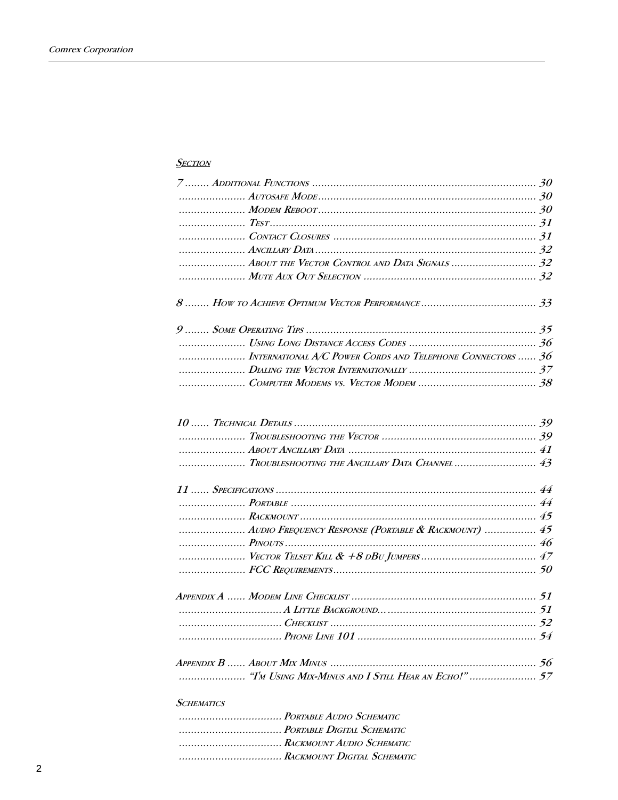## **SECTION**

| INTERNATIONAL A/C POWER CORDS AND TELEPHONE CONNECTORS  36 |  |
|------------------------------------------------------------|--|
|                                                            |  |
|                                                            |  |
|                                                            |  |
|                                                            |  |
|                                                            |  |
| TROUBLESHOOTING THE ANCILLARY DATA CHANNEL  43             |  |
|                                                            |  |
|                                                            |  |
|                                                            |  |
| AUDIO FREQUENCY RESPONSE (PORTABLE & RACKMOUNT)  45        |  |
|                                                            |  |
|                                                            |  |
|                                                            |  |
|                                                            |  |
|                                                            |  |
|                                                            |  |
|                                                            |  |
|                                                            |  |
|                                                            |  |
| <b>SCHEMATICS</b>                                          |  |

.................................... PORTABLE AUDIO SCHEMATIC ................................... PORTABLE DIGITAL SCHEMATIC ..................................... RACKMOUNT AUDIO SCHEMATIC ................................... RACKMOUNT DIGITAL SCHEMATIC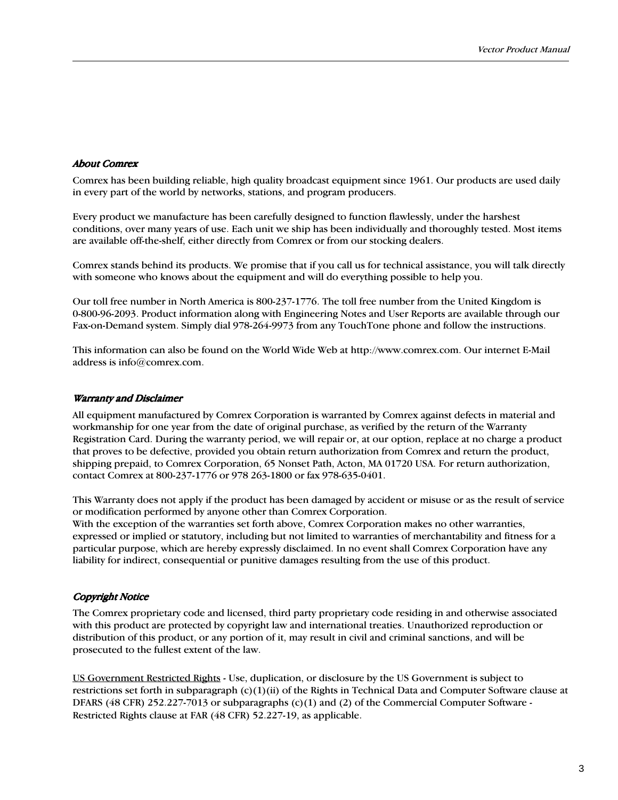## About Comrex

Comrex has been building reliable, high quality broadcast equipment since 1961. Our products are used daily in every part of the world by networks, stations, and program producers.

Every product we manufacture has been carefully designed to function flawlessly, under the harshest conditions, over many years of use. Each unit we ship has been individually and thoroughly tested. Most items are available off-the-shelf, either directly from Comrex or from our stocking dealers.

Comrex stands behind its products. We promise that if you call us for technical assistance, you will talk directly with someone who knows about the equipment and will do everything possible to help you.

Our toll free number in North America is 800-237-1776. The toll free number from the United Kingdom is 0-800-96-2093. Product information along with Engineering Notes and User Reports are available through our Fax-on-Demand system. Simply dial 978-264-9973 from any TouchTone phone and follow the instructions.

This information can also be found on the World Wide Web at http://www.comrex.com. Our internet E-Mail address is info@comrex.com.

#### Warranty and Disclaimer

All equipment manufactured by Comrex Corporation is warranted by Comrex against defects in material and workmanship for one year from the date of original purchase, as verified by the return of the Warranty Registration Card. During the warranty period, we will repair or, at our option, replace at no charge a product that proves to be defective, provided you obtain return authorization from Comrex and return the product, shipping prepaid, to Comrex Corporation, 65 Nonset Path, Acton, MA 01720 USA. For return authorization, contact Comrex at 800-237-1776 or 978 263-1800 or fax 978-635-0401.

This Warranty does not apply if the product has been damaged by accident or misuse or as the result of service or modification performed by anyone other than Comrex Corporation.

With the exception of the warranties set forth above, Comrex Corporation makes no other warranties, expressed or implied or statutory, including but not limited to warranties of merchantability and fitness for a particular purpose, which are hereby expressly disclaimed. In no event shall Comrex Corporation have any liability for indirect, consequential or punitive damages resulting from the use of this product.

### Copyright Notice

The Comrex proprietary code and licensed, third party proprietary code residing in and otherwise associated with this product are protected by copyright law and international treaties. Unauthorized reproduction or distribution of this product, or any portion of it, may result in civil and criminal sanctions, and will be prosecuted to the fullest extent of the law.

US Government Restricted Rights - Use, duplication, or disclosure by the US Government is subject to restrictions set forth in subparagraph  $(c)(1)(ii)$  of the Rights in Technical Data and Computer Software clause at DFARS (48 CFR) 252.227-7013 or subparagraphs (c)(1) and (2) of the Commercial Computer Software - Restricted Rights clause at FAR (48 CFR) 52.227-19, as applicable.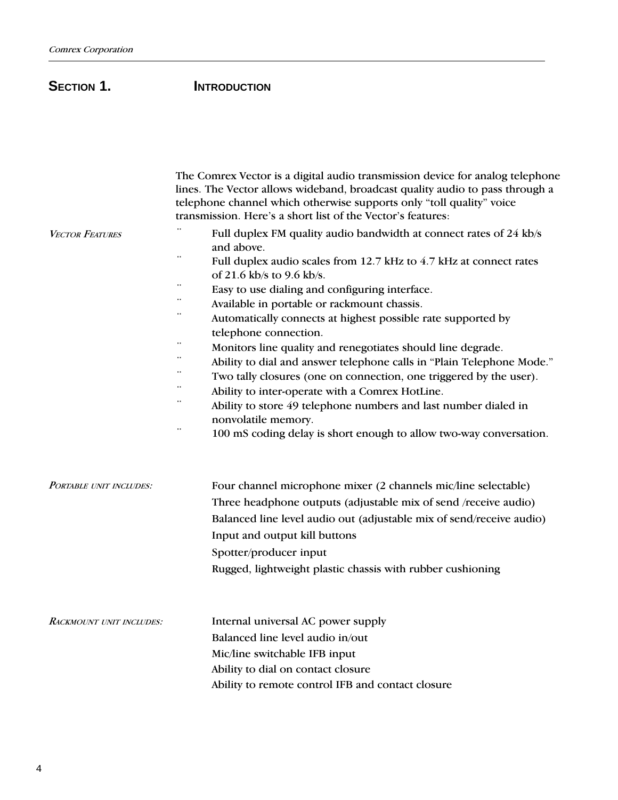## SECTION 1. **INTRODUCTION**

|                                 | The Comrex Vector is a digital audio transmission device for analog telephone<br>lines. The Vector allows wideband, broadcast quality audio to pass through a<br>telephone channel which otherwise supports only "toll quality" voice<br>transmission. Here's a short list of the Vector's features:                                                                                                                                                                                                                                                                                                                                                                                                                                                                                                           |
|---------------------------------|----------------------------------------------------------------------------------------------------------------------------------------------------------------------------------------------------------------------------------------------------------------------------------------------------------------------------------------------------------------------------------------------------------------------------------------------------------------------------------------------------------------------------------------------------------------------------------------------------------------------------------------------------------------------------------------------------------------------------------------------------------------------------------------------------------------|
| <b>VECTOR FEATURES</b>          | Full duplex FM quality audio bandwidth at connect rates of 24 kb/s<br>and above.<br>Full duplex audio scales from 12.7 kHz to 4.7 kHz at connect rates<br>of 21.6 kb/s to 9.6 kb/s.<br>Easy to use dialing and configuring interface.<br>Available in portable or rackmount chassis.<br>Automatically connects at highest possible rate supported by<br>telephone connection.<br>Monitors line quality and renegotiates should line degrade.<br>Ability to dial and answer telephone calls in "Plain Telephone Mode."<br>Two tally closures (one on connection, one triggered by the user).<br>Ability to inter-operate with a Comrex HotLine.<br>Ability to store 49 telephone numbers and last number dialed in<br>nonvolatile memory.<br>100 mS coding delay is short enough to allow two-way conversation. |
| PORTABLE UNIT INCLUDES:         | Four channel microphone mixer (2 channels mic/line selectable)<br>Three headphone outputs (adjustable mix of send /receive audio)<br>Balanced line level audio out (adjustable mix of send/receive audio)<br>Input and output kill buttons<br>Spotter/producer input<br>Rugged, lightweight plastic chassis with rubber cushioning                                                                                                                                                                                                                                                                                                                                                                                                                                                                             |
| <b>RACKMOUNT UNIT INCLUDES:</b> | Internal universal AC power supply<br>Balanced line level audio in/out<br>Mic/line switchable IFB input<br>Ability to dial on contact closure<br>Ability to remote control IFB and contact closure                                                                                                                                                                                                                                                                                                                                                                                                                                                                                                                                                                                                             |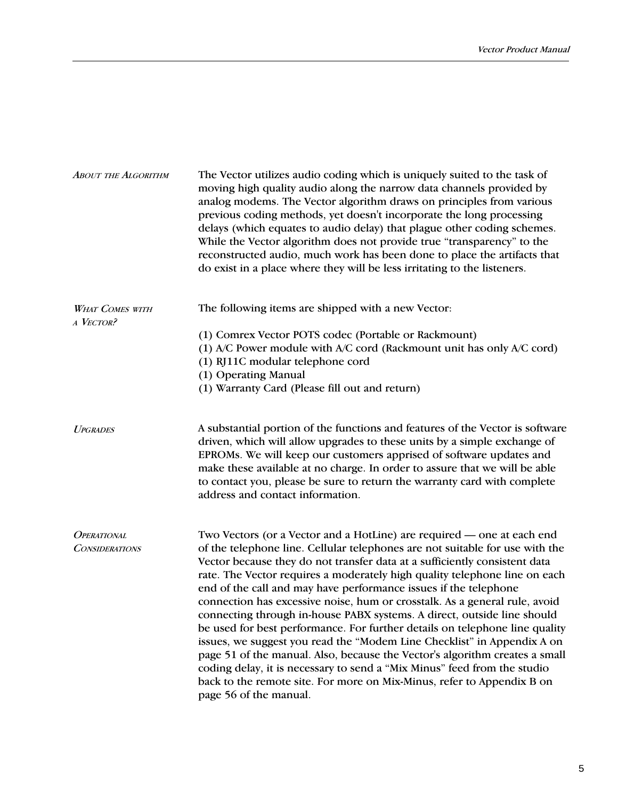| <b>ABOUT THE ALGORITHM</b>          | The Vector utilizes audio coding which is uniquely suited to the task of<br>moving high quality audio along the narrow data channels provided by<br>analog modems. The Vector algorithm draws on principles from various<br>previous coding methods, yet doesn't incorporate the long processing<br>delays (which equates to audio delay) that plague other coding schemes.<br>While the Vector algorithm does not provide true "transparency" to the<br>reconstructed audio, much work has been done to place the artifacts that<br>do exist in a place where they will be less irritating to the listeners.                                                                                                                                                                                                                                                                                  |
|-------------------------------------|------------------------------------------------------------------------------------------------------------------------------------------------------------------------------------------------------------------------------------------------------------------------------------------------------------------------------------------------------------------------------------------------------------------------------------------------------------------------------------------------------------------------------------------------------------------------------------------------------------------------------------------------------------------------------------------------------------------------------------------------------------------------------------------------------------------------------------------------------------------------------------------------|
| <b>WHAT COMES WITH</b><br>A VECTOR? | The following items are shipped with a new Vector:                                                                                                                                                                                                                                                                                                                                                                                                                                                                                                                                                                                                                                                                                                                                                                                                                                             |
|                                     | (1) Comrex Vector POTS codec (Portable or Rackmount)<br>(1) A/C Power module with A/C cord (Rackmount unit has only A/C cord)<br>(1) RJ11C modular telephone cord<br>(1) Operating Manual                                                                                                                                                                                                                                                                                                                                                                                                                                                                                                                                                                                                                                                                                                      |
|                                     | (1) Warranty Card (Please fill out and return)                                                                                                                                                                                                                                                                                                                                                                                                                                                                                                                                                                                                                                                                                                                                                                                                                                                 |
| <b>UPGRADES</b>                     | A substantial portion of the functions and features of the Vector is software<br>driven, which will allow upgrades to these units by a simple exchange of<br>EPROMs. We will keep our customers apprised of software updates and<br>make these available at no charge. In order to assure that we will be able<br>to contact you, please be sure to return the warranty card with complete<br>address and contact information.                                                                                                                                                                                                                                                                                                                                                                                                                                                                 |
| <b>OPERATIONAL</b>                  | Two Vectors (or a Vector and a HotLine) are required — one at each end                                                                                                                                                                                                                                                                                                                                                                                                                                                                                                                                                                                                                                                                                                                                                                                                                         |
| <b>CONSIDERATIONS</b>               | of the telephone line. Cellular telephones are not suitable for use with the<br>Vector because they do not transfer data at a sufficiently consistent data<br>rate. The Vector requires a moderately high quality telephone line on each<br>end of the call and may have performance issues if the telephone<br>connection has excessive noise, hum or crosstalk. As a general rule, avoid<br>connecting through in-house PABX systems. A direct, outside line should<br>be used for best performance. For further details on telephone line quality<br>issues, we suggest you read the "Modem Line Checklist" in Appendix A on<br>page 51 of the manual. Also, because the Vector's algorithm creates a small<br>coding delay, it is necessary to send a "Mix Minus" feed from the studio<br>back to the remote site. For more on Mix-Minus, refer to Appendix B on<br>page 56 of the manual. |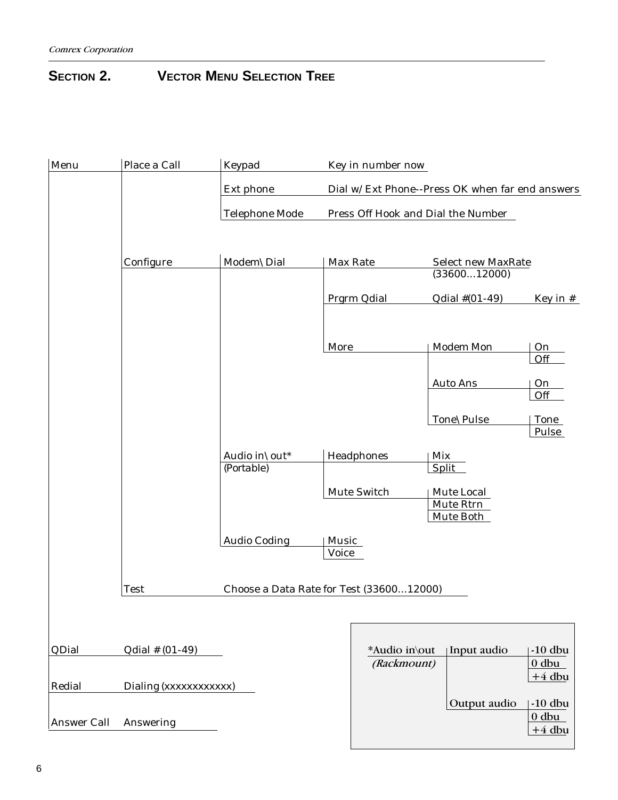## **SECTION 2. VECTOR MENU SELECTION TREE**

| Menu               | Place a Call          | Keypad                                   |                       | Key in number now            |                                                 |                                  |
|--------------------|-----------------------|------------------------------------------|-----------------------|------------------------------|-------------------------------------------------|----------------------------------|
|                    |                       | Ext phone                                |                       |                              | Dial w/Ext Phone--Press OK when far end answers |                                  |
|                    |                       | <b>Telephone Mode</b>                    |                       |                              | Press Off Hook and Dial the Number              |                                  |
|                    | Configure             | Modem\Dial                               | Max Rate              |                              | <b>Select new MaxRate</b><br>(3360012000)       |                                  |
|                    |                       |                                          |                       | Prgrm Qdial                  | Qdial #(01-49)                                  | Key in $#$                       |
|                    |                       |                                          | More                  |                              | <b>Modem Mon</b>                                | On<br>Off                        |
|                    |                       |                                          |                       |                              | <b>Auto Ans</b>                                 | $O_{11}$<br>Off                  |
|                    |                       |                                          |                       |                              | Tone\Pulse                                      | <b>Tone</b><br>Pulse             |
|                    |                       | Audio in\out*<br>(Portable)              |                       | Headphones                   | Mix<br><b>Split</b>                             |                                  |
|                    |                       |                                          |                       | Mute Switch                  | Mute Local<br>Mute Rtrn<br>Mute Both            |                                  |
|                    |                       | <b>Audio Coding</b>                      | Music<br><b>Voice</b> |                              |                                                 |                                  |
|                    | <b>Test</b>           | Choose a Data Rate for Test (3360012000) |                       |                              |                                                 |                                  |
|                    |                       |                                          |                       |                              |                                                 |                                  |
| QDial              | $Qdial \# (01-49)$    |                                          |                       | *Audio in\out<br>(Rackmount) | Input audio                                     | $-10$ dbu<br>$0$ dbu             |
| Redial             | Dialing (xxxxxxxxxxx) |                                          |                       |                              |                                                 | $+4$ dbu                         |
| <b>Answer Call</b> | Answering             |                                          |                       |                              | Output audio                                    | $-10$ dbu<br>$0$ dbu<br>$+4$ dbu |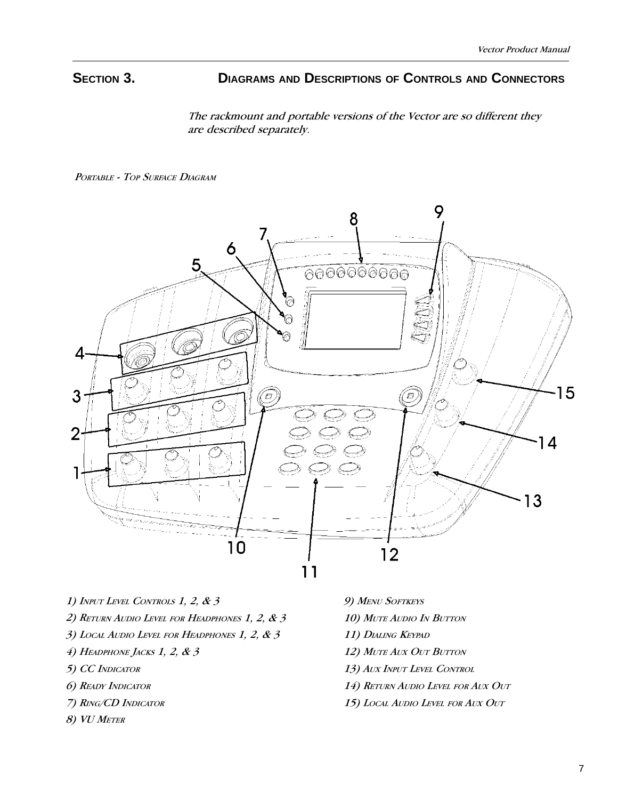## **SECTION 3. DIAGRAMS AND DESCRIPTIONS OF CONTROLS AND CONNECTORS**

The rackmount and portable versions of the Vector are so different they are described separately.

PORTABLE - TOP SURFACE DIAGRAM



- 1) INPUT LEVEL CONTROLS 1, 2, & 3
- 2) RETURN AUDIO LEVEL FOR HEADPHONES 1, 2, & 3
- 3) LOCAL AUDIO LEVEL FOR HEADPHONES 1, 2, & 3
- $4)$  Headphone Jacks 1, 2, & 3
- 5) CC INDICATOR
- 6) READY INDICATOR
- 7) RING/CD INDICATOR
- 8) VU METER
- 9) MENU SOFTKEYS
- 10) MUTE AUDIO IN BUTTON
- 11) DIALING KEYPAD
- 12) MUTE AUX OUT BUTTON
- 13) AUX INPUT LEVEL CONTROL
- 14) RETURN AUDIO LEVEL FOR AUX OUT
- 15) LOCAL AUDIO LEVEL FOR AUX OUT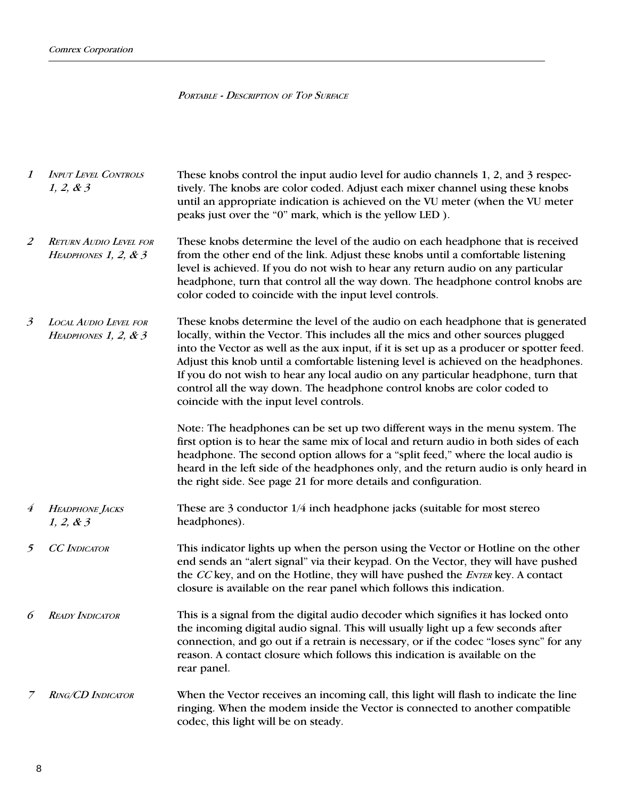## PORTABLE - DESCRIPTION OF TOP SURFACE

| $\boldsymbol{\mathit{1}}$ | <b>INPUT LEVEL CONTROLS</b><br>1, 2, 8, 3              | These knobs control the input audio level for audio channels 1, 2, and 3 respec-<br>tively. The knobs are color coded. Adjust each mixer channel using these knobs<br>until an appropriate indication is achieved on the VU meter (when the VU meter<br>peaks just over the "0" mark, which is the yellow LED).                                                                                                                                                                                                                                                     |
|---------------------------|--------------------------------------------------------|---------------------------------------------------------------------------------------------------------------------------------------------------------------------------------------------------------------------------------------------------------------------------------------------------------------------------------------------------------------------------------------------------------------------------------------------------------------------------------------------------------------------------------------------------------------------|
| 2                         | <b>RETURN AUDIO LEVEL FOR</b><br>HEADPHONES 1, 2, $&3$ | These knobs determine the level of the audio on each headphone that is received<br>from the other end of the link. Adjust these knobs until a comfortable listening<br>level is achieved. If you do not wish to hear any return audio on any particular<br>headphone, turn that control all the way down. The headphone control knobs are<br>color coded to coincide with the input level controls.                                                                                                                                                                 |
| $\mathfrak{Z}$            | LOCAL AUDIO LEVEL FOR<br>HEADPHONES 1, 2, $\&$ 3       | These knobs determine the level of the audio on each headphone that is generated<br>locally, within the Vector. This includes all the mics and other sources plugged<br>into the Vector as well as the aux input, if it is set up as a producer or spotter feed.<br>Adjust this knob until a comfortable listening level is achieved on the headphones.<br>If you do not wish to hear any local audio on any particular headphone, turn that<br>control all the way down. The headphone control knobs are color coded to<br>coincide with the input level controls. |
|                           |                                                        | Note: The headphones can be set up two different ways in the menu system. The<br>first option is to hear the same mix of local and return audio in both sides of each<br>headphone. The second option allows for a "split feed," where the local audio is<br>heard in the left side of the headphones only, and the return audio is only heard in<br>the right side. See page 21 for more details and configuration.                                                                                                                                                |
| $\boldsymbol{4}$          | <b>HEADPHONE JACKS</b><br>1, 2, 8, 3                   | These are $3$ conductor $1/4$ inch headphone jacks (suitable for most stereo<br>headphones).                                                                                                                                                                                                                                                                                                                                                                                                                                                                        |
| 5                         | <b>CC</b> INDICATOR                                    | This indicator lights up when the person using the Vector or Hotline on the other<br>end sends an "alert signal" via their keypad. On the Vector, they will have pushed<br>the CC key, and on the Hotline, they will have pushed the ENTER key. A contact<br>closure is available on the rear panel which follows this indication.                                                                                                                                                                                                                                  |
| 6                         | <b>READY INDICATOR</b>                                 | This is a signal from the digital audio decoder which signifies it has locked onto<br>the incoming digital audio signal. This will usually light up a few seconds after<br>connection, and go out if a retrain is necessary, or if the codec "loses sync" for any<br>reason. A contact closure which follows this indication is available on the<br>rear panel.                                                                                                                                                                                                     |
|                           | <b>RING/CD INDICATOR</b>                               | When the Vector receives an incoming call, this light will flash to indicate the line<br>ringing. When the modem inside the Vector is connected to another compatible<br>codec, this light will be on steady.                                                                                                                                                                                                                                                                                                                                                       |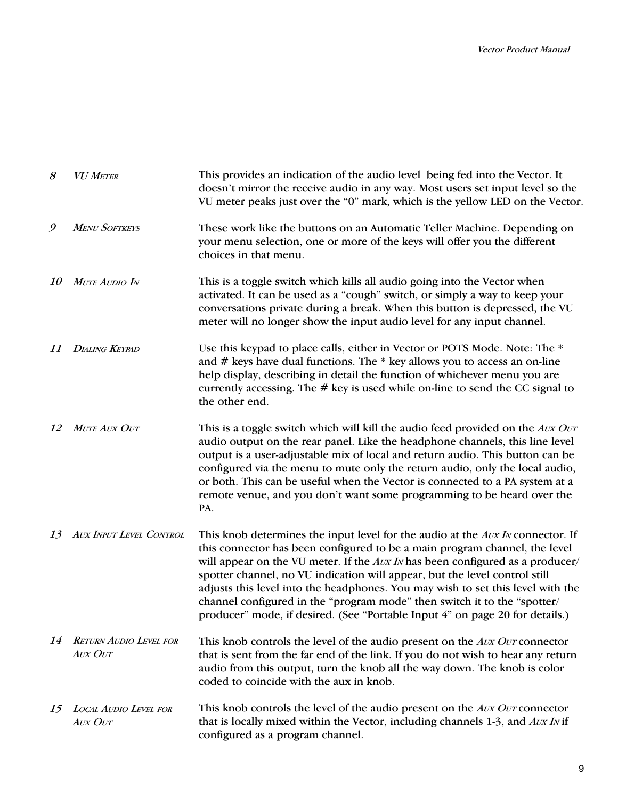| 8         | <b>VU METER</b>                                 | This provides an indication of the audio level being fed into the Vector. It<br>doesn't mirror the receive audio in any way. Most users set input level so the<br>VU meter peaks just over the "0" mark, which is the yellow LED on the Vector.                                                                                                                                                                                                                                                                                                                                   |
|-----------|-------------------------------------------------|-----------------------------------------------------------------------------------------------------------------------------------------------------------------------------------------------------------------------------------------------------------------------------------------------------------------------------------------------------------------------------------------------------------------------------------------------------------------------------------------------------------------------------------------------------------------------------------|
| 9         | <b>MENU SOFTKEYS</b>                            | These work like the buttons on an Automatic Teller Machine. Depending on<br>your menu selection, one or more of the keys will offer you the different<br>choices in that menu.                                                                                                                                                                                                                                                                                                                                                                                                    |
| <i>10</i> | MUTE AUDIO IN                                   | This is a toggle switch which kills all audio going into the Vector when<br>activated. It can be used as a "cough" switch, or simply a way to keep your<br>conversations private during a break. When this button is depressed, the VU<br>meter will no longer show the input audio level for any input channel.                                                                                                                                                                                                                                                                  |
| 11        | <b>DIALING KEYPAD</b>                           | Use this keypad to place calls, either in Vector or POTS Mode. Note: The *<br>and $#$ keys have dual functions. The $*$ key allows you to access an on-line<br>help display, describing in detail the function of whichever menu you are<br>currently accessing. The # key is used while on-line to send the CC signal to<br>the other end.                                                                                                                                                                                                                                       |
| 12        | <b>MUTE AUX OUT</b>                             | This is a toggle switch which will kill the audio feed provided on the Avx Ovr<br>audio output on the rear panel. Like the headphone channels, this line level<br>output is a user-adjustable mix of local and return audio. This button can be<br>configured via the menu to mute only the return audio, only the local audio,<br>or both. This can be useful when the Vector is connected to a PA system at a<br>remote venue, and you don't want some programming to be heard over the<br>PA.                                                                                  |
| 13        | AUX INPUT LEVEL CONTROL                         | This knob determines the input level for the audio at the Avx IN connector. If<br>this connector has been configured to be a main program channel, the level<br>will appear on the VU meter. If the <i>Aux IN</i> has been configured as a producer/<br>spotter channel, no VU indication will appear, but the level control still<br>adjusts this level into the headphones. You may wish to set this level with the<br>channel configured in the "program mode" then switch it to the "spotter/<br>producer" mode, if desired. (See "Portable Input 4" on page 20 for details.) |
| 14        | <b>RETURN AUDIO LEVEL FOR</b><br><b>AUX OUT</b> | This knob controls the level of the audio present on the Avx Ovr connector<br>that is sent from the far end of the link. If you do not wish to hear any return<br>audio from this output, turn the knob all the way down. The knob is color<br>coded to coincide with the aux in knob.                                                                                                                                                                                                                                                                                            |
| 15        | <b>LOCAL AUDIO LEVEL FOR</b><br><b>AUX OUT</b>  | This knob controls the level of the audio present on the Avx Ovr connector<br>that is locally mixed within the Vector, including channels 1-3, and $AUXIN$ if<br>configured as a program channel.                                                                                                                                                                                                                                                                                                                                                                                 |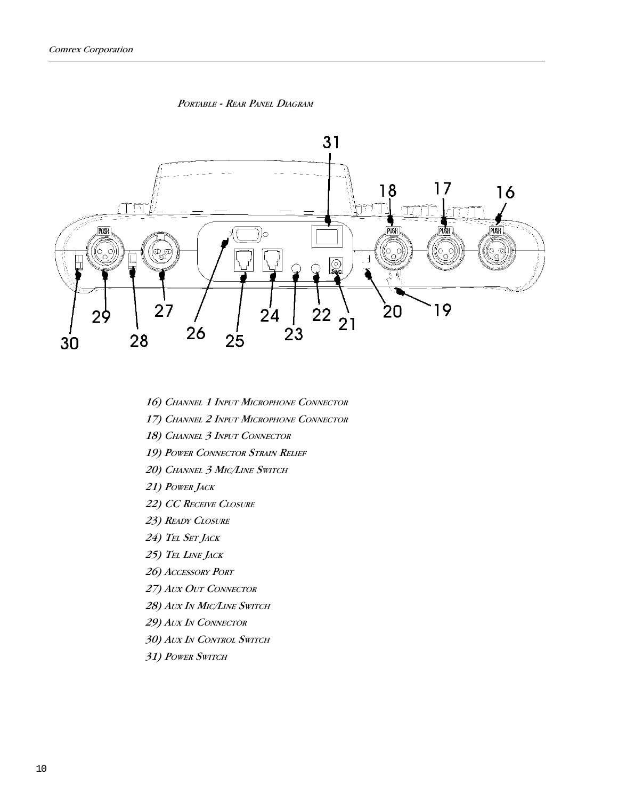PORTABLE - REAR PANEL DIAGRAM



- 16) CHANNEL 1 INPUT MICROPHONE CONNECTOR
- 17) CHANNEL 2 INPUT MICROPHONE CONNECTOR
- 18) CHANNEL 3 INPUT CONNECTOR
- 19) POWER CONNECTOR STRAIN RELIEF
- 20) CHANNEL 3 MIC/LINE SWITCH
- 21) POWER JACK
- 22) CC RECEIVE CLOSURE
- 23) READY CLOSURE
- 24) TEL SET JACK
- 25) TEL LINE JACK
- 26) ACCESSORY PORT
- 27) AUX OUT CONNECTOR
- 28) AUX IN MIC/LINE SWITCH
- 29) AUX IN CONNECTOR
- 30) AUX IN CONTROL SWITCH
- 31) POWER SWITCH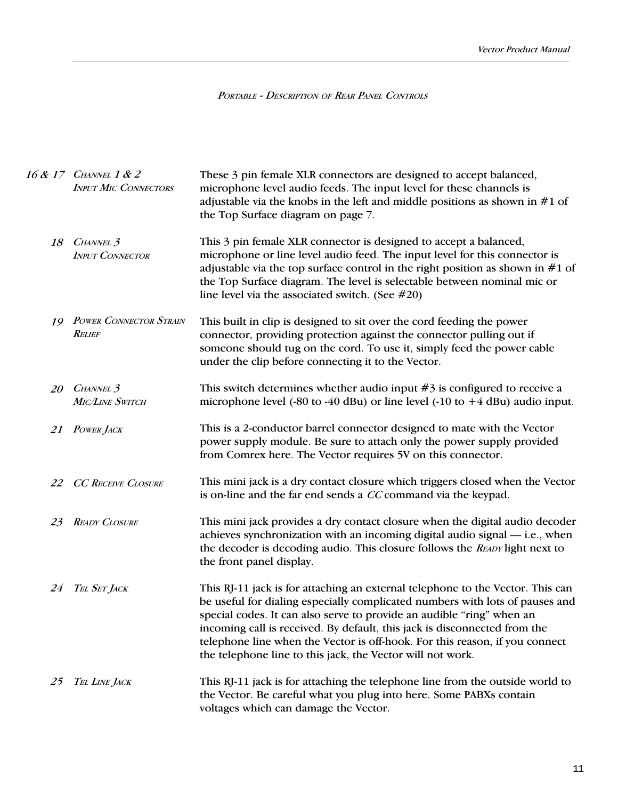PORTABLE - DESCRIPTION OF REAR PANEL CONTROLS

|    | 16 & 17 CHANNEL 1 & 2<br><b>INPUT MIC CONNECTORS</b> | These 3 pin female XLR connectors are designed to accept balanced,<br>microphone level audio feeds. The input level for these channels is<br>adjustable via the knobs in the left and middle positions as shown in $#1$ of<br>the Top Surface diagram on page 7.                                                                                                                                                                                                  |
|----|------------------------------------------------------|-------------------------------------------------------------------------------------------------------------------------------------------------------------------------------------------------------------------------------------------------------------------------------------------------------------------------------------------------------------------------------------------------------------------------------------------------------------------|
| 18 | CHANNEL <sub>3</sub><br><b>INPUT CONNECTOR</b>       | This 3 pin female XLR connector is designed to accept a balanced,<br>microphone or line level audio feed. The input level for this connector is<br>adjustable via the top surface control in the right position as shown in $#1$ of<br>the Top Surface diagram. The level is selectable between nominal mic or<br>line level via the associated switch. (See $#20$ )                                                                                              |
| 19 | <b>POWER CONNECTOR STRAIN</b><br><b>RELIEF</b>       | This built in clip is designed to sit over the cord feeding the power<br>connector, providing protection against the connector pulling out if<br>someone should tug on the cord. To use it, simply feed the power cable<br>under the clip before connecting it to the Vector.                                                                                                                                                                                     |
| 20 | CHANNEL <sub>3</sub><br>MIC/LINE SWITCH              | This switch determines whether audio input $#3$ is configured to receive a<br>microphone level (-80 to -40 dBu) or line level (-10 to $+4$ dBu) audio input.                                                                                                                                                                                                                                                                                                      |
| 21 | <b>POWER JACK</b>                                    | This is a 2-conductor barrel connector designed to mate with the Vector<br>power supply module. Be sure to attach only the power supply provided<br>from Comrex here. The Vector requires 5V on this connector.                                                                                                                                                                                                                                                   |
| 22 | <b>CC RECEIVE CLOSURE</b>                            | This mini jack is a dry contact closure which triggers closed when the Vector<br>is on-line and the far end sends a CC command via the keypad.                                                                                                                                                                                                                                                                                                                    |
| 23 | <b>READY CLOSURE</b>                                 | This mini jack provides a dry contact closure when the digital audio decoder<br>achieves synchronization with an incoming digital audio signal — i.e., when<br>the decoder is decoding audio. This closure follows the READY light next to<br>the front panel display.                                                                                                                                                                                            |
| 24 | TEL SET JACK                                         | This RJ-11 jack is for attaching an external telephone to the Vector. This can<br>be useful for dialing especially complicated numbers with lots of pauses and<br>special codes. It can also serve to provide an audible "ring" when an<br>incoming call is received. By default, this jack is disconnected from the<br>telephone line when the Vector is off-hook. For this reason, if you connect<br>the telephone line to this jack, the Vector will not work. |
| 25 | TEL LINE JACK                                        | This RJ-11 jack is for attaching the telephone line from the outside world to<br>the Vector. Be careful what you plug into here. Some PABXs contain<br>voltages which can damage the Vector.                                                                                                                                                                                                                                                                      |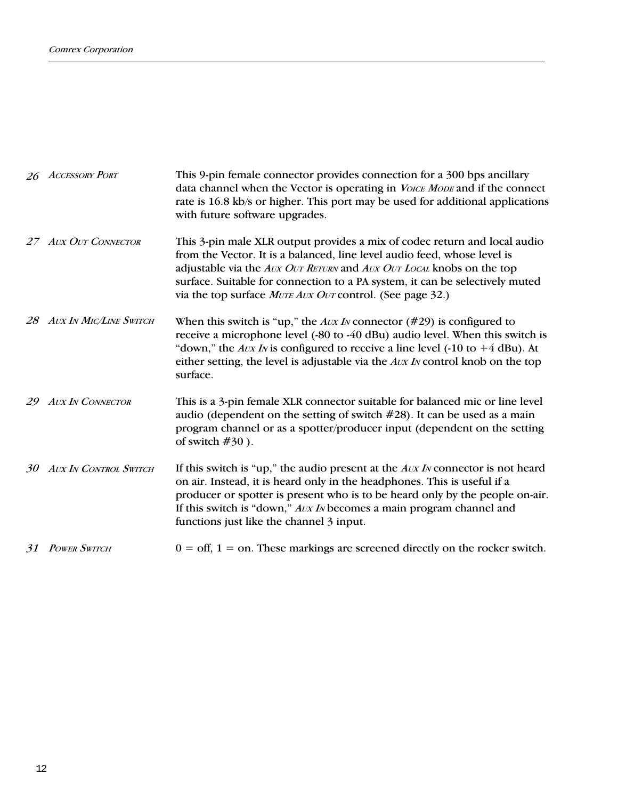|    | 26 ACCESSORY PORT            | This 9-pin female connector provides connection for a 300 bps ancillary<br>data channel when the Vector is operating in <i>VoICE MODE</i> and if the connect<br>rate is 16.8 kb/s or higher. This port may be used for additional applications<br>with future software upgrades.                                                                                                        |
|----|------------------------------|-----------------------------------------------------------------------------------------------------------------------------------------------------------------------------------------------------------------------------------------------------------------------------------------------------------------------------------------------------------------------------------------|
|    | 27 AUX OUT CONNECTOR         | This 3-pin male XLR output provides a mix of codec return and local audio<br>from the Vector. It is a balanced, line level audio feed, whose level is<br>adjustable via the <i>Aux Our RETURN</i> and <i>Aux Our LOCAL</i> knobs on the top<br>surface. Suitable for connection to a PA system, it can be selectively muted<br>via the top surface MUTE AUX OUT control. (See page 32.) |
|    | 28 AUX IN MIC/LINE SWITCH    | When this switch is "up," the $Aux\,Iv$ connector (#29) is configured to<br>receive a microphone level (-80 to -40 dBu) audio level. When this switch is<br>"down," the $Aux\,Iv$ is configured to receive a line level (-10 to +4 dBu). At<br>either setting, the level is adjustable via the Avx IN control knob on the top<br>surface.                                               |
| 29 | <b>AUX IN CONNECTOR</b>      | This is a 3-pin female XLR connector suitable for balanced mic or line level<br>audio (dependent on the setting of switch $#28$ ). It can be used as a main<br>program channel or as a spotter/producer input (dependent on the setting<br>of switch $#30$ ).                                                                                                                           |
| 30 | <b>AUX IN CONTROL SWITCH</b> | If this switch is "up," the audio present at the $Aux\,Iv$ connector is not heard<br>on air. Instead, it is heard only in the headphones. This is useful if a<br>producer or spotter is present who is to be heard only by the people on-air.<br>If this switch is "down," Avx IN becomes a main program channel and<br>functions just like the channel 3 input.                        |
|    | 31 POWER SWITCH              | $0 = \text{off}, 1 = \text{on}$ . These markings are screened directly on the rocker switch.                                                                                                                                                                                                                                                                                            |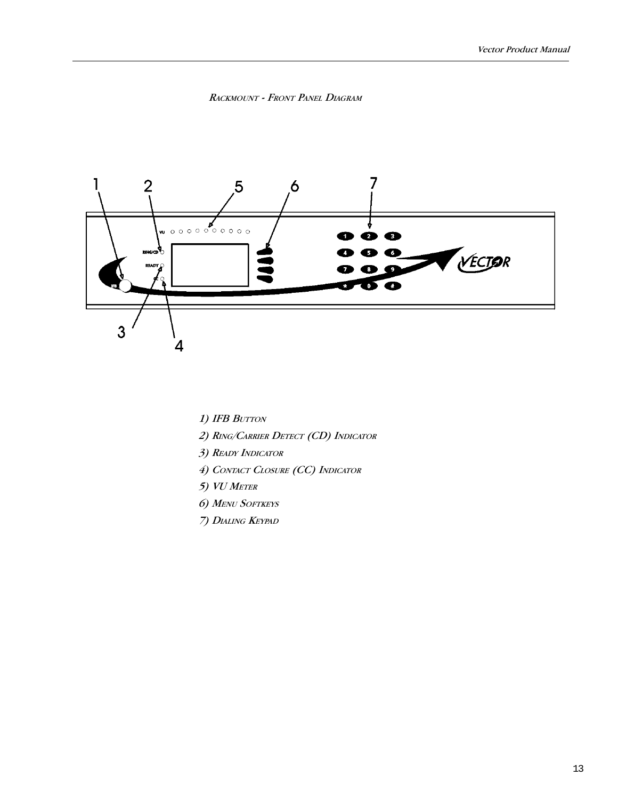## RACKMOUNT - FRONT PANEL DIAGRAM



- 1) IFB BUTTON
- 2) RING/CARRIER DETECT (CD) INDICATOR
- 3) READY INDICATOR
- 4) CONTACT CLOSURE (CC) INDICATOR
- 5) VU METER
- 6) MENU SOFTKEYS
- 7) DIALING KEYPAD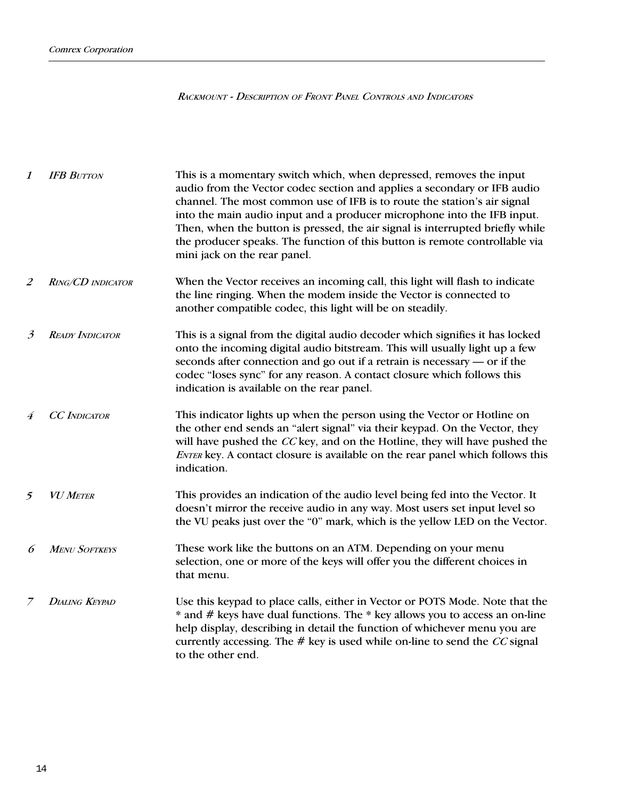RACKMOUNT - DESCRIPTION OF FRONT PANEL CONTROLS AND INDICATORS

| 1              | <b>IFB BUTTON</b>      | This is a momentary switch which, when depressed, removes the input<br>audio from the Vector codec section and applies a secondary or IFB audio<br>channel. The most common use of IFB is to route the station's air signal<br>into the main audio input and a producer microphone into the IFB input.<br>Then, when the button is pressed, the air signal is interrupted briefly while<br>the producer speaks. The function of this button is remote controllable via<br>mini jack on the rear panel. |
|----------------|------------------------|--------------------------------------------------------------------------------------------------------------------------------------------------------------------------------------------------------------------------------------------------------------------------------------------------------------------------------------------------------------------------------------------------------------------------------------------------------------------------------------------------------|
| 2              | RING/CD INDICATOR      | When the Vector receives an incoming call, this light will flash to indicate<br>the line ringing. When the modem inside the Vector is connected to<br>another compatible codec, this light will be on steadily.                                                                                                                                                                                                                                                                                        |
| $\mathfrak{Z}$ | <b>READY INDICATOR</b> | This is a signal from the digital audio decoder which signifies it has locked<br>onto the incoming digital audio bitstream. This will usually light up a few<br>seconds after connection and go out if a retrain is necessary — or if the<br>codec "loses sync" for any reason. A contact closure which follows this<br>indication is available on the rear panel.                                                                                                                                     |
|                | <b>CC</b> INDICATOR    | This indicator lights up when the person using the Vector or Hotline on<br>the other end sends an "alert signal" via their keypad. On the Vector, they<br>will have pushed the CC key, and on the Hotline, they will have pushed the<br>ENTER key. A contact closure is available on the rear panel which follows this<br>indication.                                                                                                                                                                  |
| 5              | <b>VU METER</b>        | This provides an indication of the audio level being fed into the Vector. It<br>doesn't mirror the receive audio in any way. Most users set input level so<br>the VU peaks just over the "0" mark, which is the yellow LED on the Vector.                                                                                                                                                                                                                                                              |
| 6              | <b>MENU SOFTKEYS</b>   | These work like the buttons on an ATM. Depending on your menu<br>selection, one or more of the keys will offer you the different choices in<br>that menu.                                                                                                                                                                                                                                                                                                                                              |
|                | <b>DIALING KEYPAD</b>  | Use this keypad to place calls, either in Vector or POTS Mode. Note that the<br>* and # keys have dual functions. The * key allows you to access an on-line<br>help display, describing in detail the function of whichever menu you are<br>currently accessing. The $#$ key is used while on-line to send the CC signal<br>to the other end.                                                                                                                                                          |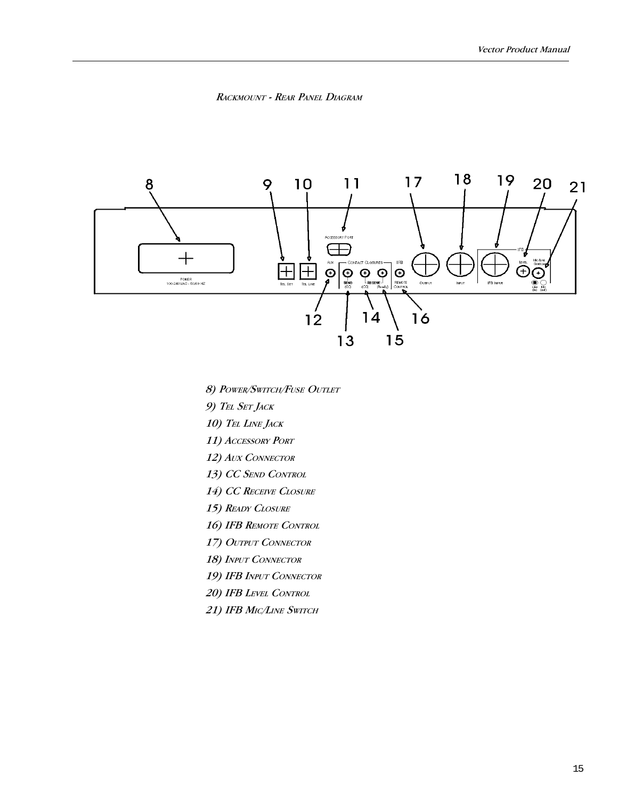



8) POWER/SWITCH/FUSE OUTLET

9) TEL SET JACK

10) TEL LINE JACK

11) ACCESSORY PORT

12) AUX CONNECTOR

13) CC SEND CONTROL

14) CC RECEIVE CLOSURE

15) READY CLOSURE

16) IFB REMOTE CONTROL

17) OUTPUT CONNECTOR

18) INPUT CONNECTOR

19) IFB INPUT CONNECTOR

20) IFB LEVEL CONTROL

21) IFB MIC/LINE SWITCH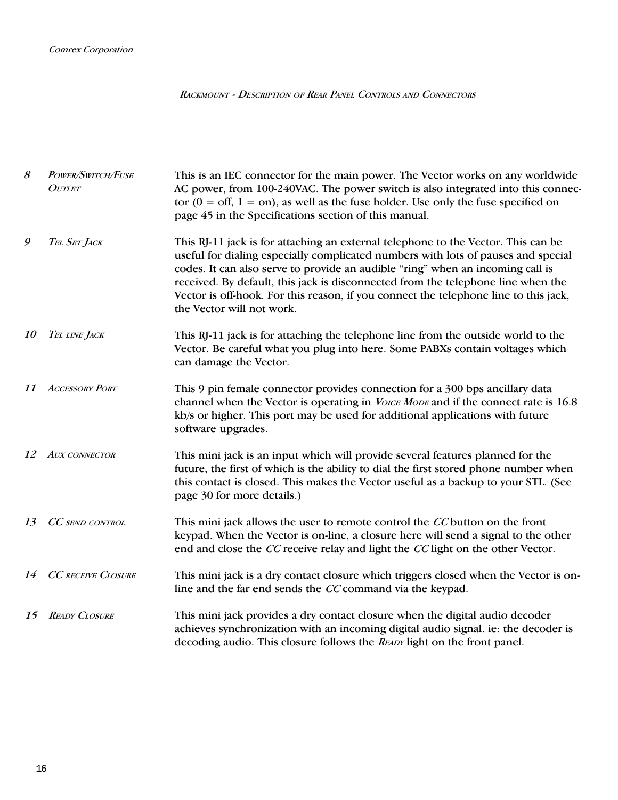RACKMOUNT - DESCRIPTION OF REAR PANEL CONTROLS AND CONNECTORS

| 8         | POWER/SWITCH/FUSE<br><b>OUTLET</b> | This is an IEC connector for the main power. The Vector works on any worldwide<br>AC power, from 100-240VAC. The power switch is also integrated into this connec-<br>tor $(0 = \text{off}, 1 = \text{on})$ , as well as the fuse holder. Use only the fuse specified on<br>page 45 in the Specifications section of this manual.                                                                                                                                 |
|-----------|------------------------------------|-------------------------------------------------------------------------------------------------------------------------------------------------------------------------------------------------------------------------------------------------------------------------------------------------------------------------------------------------------------------------------------------------------------------------------------------------------------------|
| 9         | TEL SET JACK                       | This RJ-11 jack is for attaching an external telephone to the Vector. This can be<br>useful for dialing especially complicated numbers with lots of pauses and special<br>codes. It can also serve to provide an audible "ring" when an incoming call is<br>received. By default, this jack is disconnected from the telephone line when the<br>Vector is off-hook. For this reason, if you connect the telephone line to this jack,<br>the Vector will not work. |
| <i>10</i> | TEL LINE JACK                      | This RJ-11 jack is for attaching the telephone line from the outside world to the<br>Vector. Be careful what you plug into here. Some PABXs contain voltages which<br>can damage the Vector.                                                                                                                                                                                                                                                                      |
| 11        | <b>ACCESSORY PORT</b>              | This 9 pin female connector provides connection for a 300 bps ancillary data<br>channel when the Vector is operating in <i>Voice Mobe</i> and if the connect rate is 16.8<br>kb/s or higher. This port may be used for additional applications with future<br>software upgrades.                                                                                                                                                                                  |
| 12        | <b>AUX CONNECTOR</b>               | This mini jack is an input which will provide several features planned for the<br>future, the first of which is the ability to dial the first stored phone number when<br>this contact is closed. This makes the Vector useful as a backup to your STL. (See<br>page 30 for more details.)                                                                                                                                                                        |
| 13        | CC SEND CONTROL                    | This mini jack allows the user to remote control the CC button on the front<br>keypad. When the Vector is on-line, a closure here will send a signal to the other<br>end and close the CC receive relay and light the CC light on the other Vector.                                                                                                                                                                                                               |
| 14        | <b>CC RECEIVE CLOSURE</b>          | This mini jack is a dry contact closure which triggers closed when the Vector is on-<br>line and the far end sends the CC command via the keypad.                                                                                                                                                                                                                                                                                                                 |
| 15        | <b>READY CLOSURE</b>               | This mini jack provides a dry contact closure when the digital audio decoder<br>achieves synchronization with an incoming digital audio signal. ie: the decoder is<br>decoding audio. This closure follows the READY light on the front panel.                                                                                                                                                                                                                    |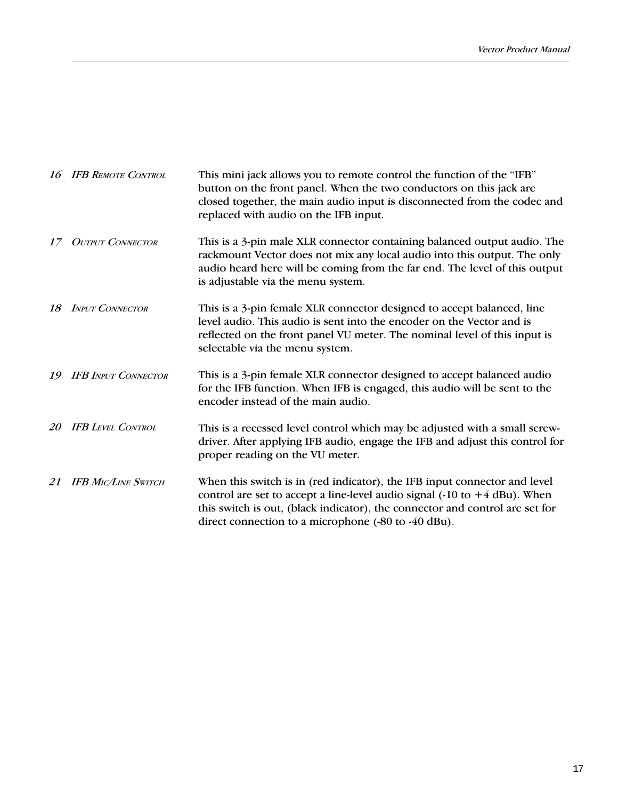|           | 16 IFB REMOTE CONTROL      | This mini jack allows you to remote control the function of the "IFB"<br>button on the front panel. When the two conductors on this jack are<br>closed together, the main audio input is disconnected from the codec and<br>replaced with audio on the IFB input.                                                 |
|-----------|----------------------------|-------------------------------------------------------------------------------------------------------------------------------------------------------------------------------------------------------------------------------------------------------------------------------------------------------------------|
| 17        | <b>OUTPUT CONNECTOR</b>    | This is a 3-pin male XLR connector containing balanced output audio. The<br>rackmount Vector does not mix any local audio into this output. The only<br>audio heard here will be coming from the far end. The level of this output<br>is adjustable via the menu system.                                          |
| 18        | <b>INPUT CONNECTOR</b>     | This is a 3-pin female XLR connector designed to accept balanced, line<br>level audio. This audio is sent into the encoder on the Vector and is<br>reflected on the front panel VU meter. The nominal level of this input is<br>selectable via the menu system.                                                   |
| 19        | <b>IFB INPUT CONNECTOR</b> | This is a 3-pin female XLR connector designed to accept balanced audio<br>for the IFB function. When IFB is engaged, this audio will be sent to the<br>encoder instead of the main audio.                                                                                                                         |
| <i>20</i> | <b>IFB LEVEL CONTROL</b>   | This is a recessed level control which may be adjusted with a small screw-<br>driver. After applying IFB audio, engage the IFB and adjust this control for<br>proper reading on the VU meter.                                                                                                                     |
|           | 21 IFB MIC/LINE SWITCH     | When this switch is in (red indicator), the IFB input connector and level<br>control are set to accept a line-level audio signal $(-10 \text{ to } +4 \text{ dBu})$ . When<br>this switch is out, (black indicator), the connector and control are set for<br>direct connection to a microphone (-80 to -40 dBu). |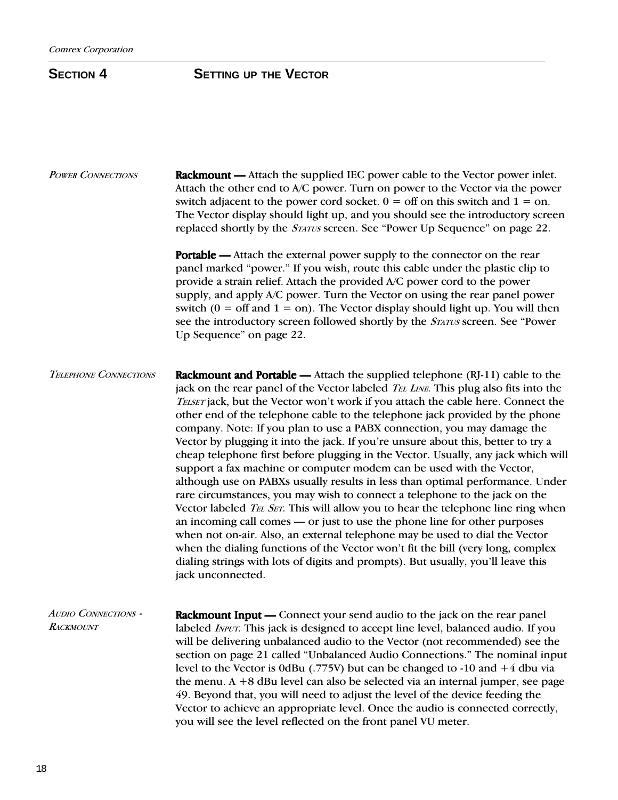## SECTION 4 **SETTING** UP THE VECTOR

| <b>POWER CONNECTIONS</b>                       | <b>Rackmount</b> — Attach the supplied IEC power cable to the Vector power inlet.<br>Attach the other end to A/C power. Turn on power to the Vector via the power<br>switch adjacent to the power cord socket. $0 =$ off on this switch and $1 =$ on.<br>The Vector display should light up, and you should see the introductory screen<br>replaced shortly by the <i>STATUS</i> screen. See "Power Up Sequence" on page 22.                                                                                                                                                                                                                                                                                                                                                                                                                                                                                                                                                                                                                                                                                                                                                                                                                                                                    |
|------------------------------------------------|-------------------------------------------------------------------------------------------------------------------------------------------------------------------------------------------------------------------------------------------------------------------------------------------------------------------------------------------------------------------------------------------------------------------------------------------------------------------------------------------------------------------------------------------------------------------------------------------------------------------------------------------------------------------------------------------------------------------------------------------------------------------------------------------------------------------------------------------------------------------------------------------------------------------------------------------------------------------------------------------------------------------------------------------------------------------------------------------------------------------------------------------------------------------------------------------------------------------------------------------------------------------------------------------------|
|                                                | <b>Portable</b> — Attach the external power supply to the connector on the rear<br>panel marked "power." If you wish, route this cable under the plastic clip to<br>provide a strain relief. Attach the provided A/C power cord to the power<br>supply, and apply A/C power. Turn the Vector on using the rear panel power<br>switch ( $0 = \text{off}$ and $1 = \text{on}$ ). The Vector display should light up. You will then<br>see the introductory screen followed shortly by the STATUS screen. See "Power<br>Up Sequence" on page 22.                                                                                                                                                                                                                                                                                                                                                                                                                                                                                                                                                                                                                                                                                                                                                   |
| <b>TELEPHONE CONNECTIONS</b>                   | <b>Rackmount and Portable —</b> Attach the supplied telephone $(RJ-11)$ cable to the<br>jack on the rear panel of the Vector labeled <i>TEL LINE</i> . This plug also fits into the<br>TELSET jack, but the Vector won't work if you attach the cable here. Connect the<br>other end of the telephone cable to the telephone jack provided by the phone<br>company. Note: If you plan to use a PABX connection, you may damage the<br>Vector by plugging it into the jack. If you're unsure about this, better to try a<br>cheap telephone first before plugging in the Vector. Usually, any jack which will<br>support a fax machine or computer modem can be used with the Vector,<br>although use on PABXs usually results in less than optimal performance. Under<br>rare circumstances, you may wish to connect a telephone to the jack on the<br>Vector labeled TEL SET. This will allow you to hear the telephone line ring when<br>an incoming call comes — or just to use the phone line for other purposes<br>when not on-air. Also, an external telephone may be used to dial the Vector<br>when the dialing functions of the Vector won't fit the bill (very long, complex<br>dialing strings with lots of digits and prompts). But usually, you'll leave this<br>jack unconnected. |
| <b>AUDIO CONNECTIONS -</b><br><b>RACKMOUNT</b> | <b>Rackmount Input</b> — Connect your send audio to the jack on the rear panel<br>labeled <i>INPUT</i> . This jack is designed to accept line level, balanced audio. If you<br>will be delivering unbalanced audio to the Vector (not recommended) see the<br>section on page 21 called "Unbalanced Audio Connections." The nominal input<br>level to the Vector is 0dBu (.775V) but can be changed to -10 and $+4$ dbu via<br>the menu. $A + 8$ dBu level can also be selected via an internal jumper, see page<br>49. Beyond that, you will need to adjust the level of the device feeding the<br>Vector to achieve an appropriate level. Once the audio is connected correctly,<br>you will see the level reflected on the front panel VU meter.                                                                                                                                                                                                                                                                                                                                                                                                                                                                                                                                             |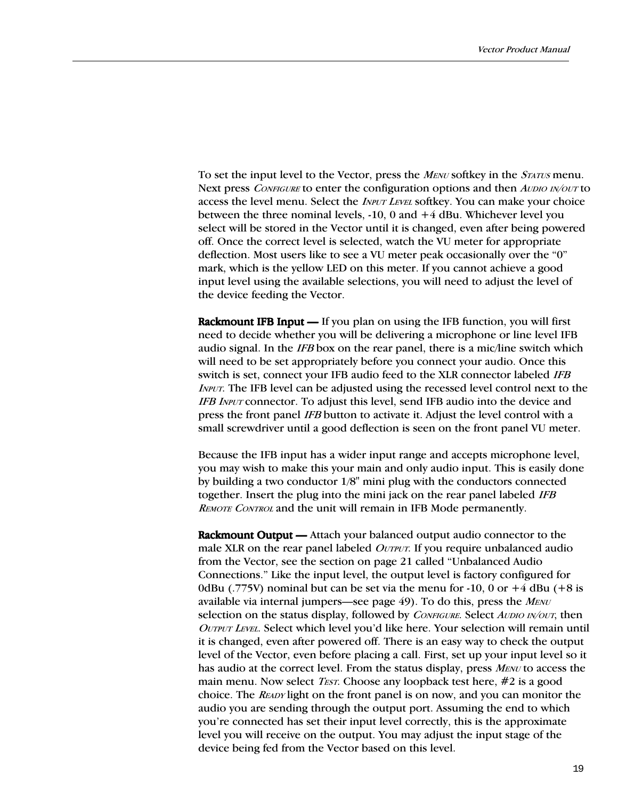To set the input level to the Vector, press the MENU softkey in the *STATUS* menu. Next press *CONFIGURE* to enter the configuration options and then *AUDIO IN/OUT* to access the level menu. Select the *INPUT LEVEL* softkey. You can make your choice between the three nominal levels, -10, 0 and +4 dBu. Whichever level you select will be stored in the Vector until it is changed, even after being powered off. Once the correct level is selected, watch the VU meter for appropriate deflection. Most users like to see a VU meter peak occasionally over the "0" mark, which is the yellow LED on this meter. If you cannot achieve a good input level using the available selections, you will need to adjust the level of the device feeding the Vector.

Rackmount IFB Input  $-$  If you plan on using the IFB function, you will first need to decide whether you will be delivering a microphone or line level IFB audio signal. In the IFB box on the rear panel, there is a mic/line switch which will need to be set appropriately before you connect your audio. Once this switch is set, connect your IFB audio feed to the XLR connector labeled IFB INPUT. The IFB level can be adjusted using the recessed level control next to the IFB INPUT connector. To adjust this level, send IFB audio into the device and press the front panel IFB button to activate it. Adjust the level control with a small screwdriver until a good deflection is seen on the front panel VU meter.

Because the IFB input has a wider input range and accepts microphone level, you may wish to make this your main and only audio input. This is easily done by building a two conductor 1/8" mini plug with the conductors connected together. Insert the plug into the mini jack on the rear panel labeled IFB REMOTE CONTROL and the unit will remain in IFB Mode permanently.

**Rackmount Output** — Attach your balanced output audio connector to the male XLR on the rear panel labeled *OUTPUT*. If you require unbalanced audio from the Vector, see the section on page 21 called "Unbalanced Audio Connections." Like the input level, the output level is factory configured for 0dBu (.775V) nominal but can be set via the menu for -10, 0 or  $+4$  dBu ( $+8$  is available via internal jumpers—see page  $49$ ). To do this, press the  $M_{EWU}$ selection on the status display, followed by *CONFIGURE*. Select *AUDIO IN/OUT*, then OUTPUT LEVEL. Select which level you'd like here. Your selection will remain until it is changed, even after powered off. There is an easy way to check the output level of the Vector, even before placing a call. First, set up your input level so it has audio at the correct level. From the status display, press MENU to access the main menu. Now select *TEST*. Choose any loopback test here,  $\#2$  is a good choice. The READY light on the front panel is on now, and you can monitor the audio you are sending through the output port. Assuming the end to which you're connected has set their input level correctly, this is the approximate level you will receive on the output. You may adjust the input stage of the device being fed from the Vector based on this level.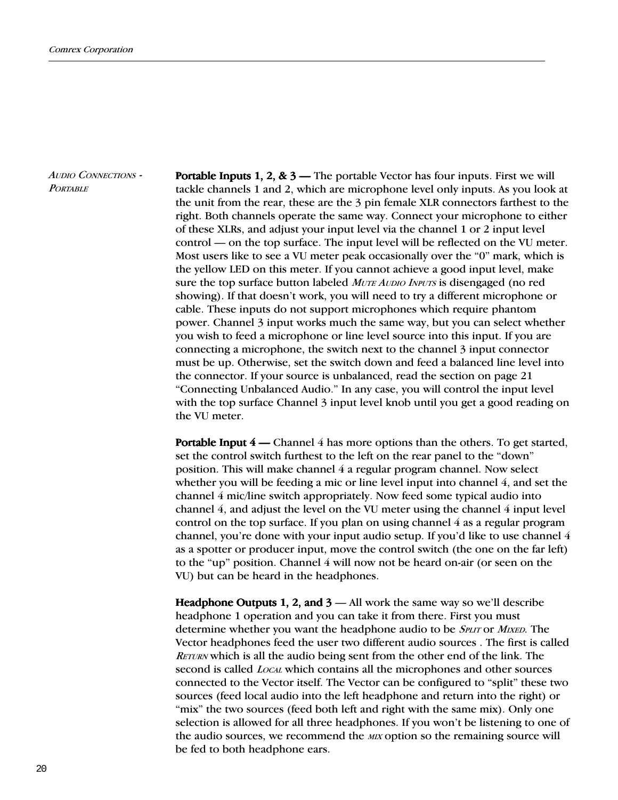AUDIO CONNECTIONS - **PORTABLE** 

**Portable Inputs 1, 2, & 3** — The portable Vector has four inputs. First we will tackle channels 1 and 2, which are microphone level only inputs. As you look at the unit from the rear, these are the 3 pin female XLR connectors farthest to the right. Both channels operate the same way. Connect your microphone to either of these XLRs, and adjust your input level via the channel 1 or 2 input level control — on the top surface. The input level will be reflected on the VU meter. Most users like to see a VU meter peak occasionally over the  $0$ " mark, which is the yellow LED on this meter. If you cannot achieve a good input level, make sure the top surface button labeled MUTE AUDIO INPUTS is disengaged (no red showing). If that doesn't work, you will need to try a different microphone or cable. These inputs do not support microphones which require phantom power. Channel 3 input works much the same way, but you can select whether you wish to feed a microphone or line level source into this input. If you are connecting a microphone, the switch next to the channel 3 input connector must be up. Otherwise, set the switch down and feed a balanced line level into the connector. If your source is unbalanced, read the section on page 21 Connecting Unbalanced Audio. In any case, you will control the input level with the top surface Channel 3 input level knob until you get a good reading on the VU meter.

**Portable Input 4** — Channel 4 has more options than the others. To get started, set the control switch furthest to the left on the rear panel to the "down" position. This will make channel 4 a regular program channel. Now select whether you will be feeding a mic or line level input into channel 4, and set the channel 4 mic/line switch appropriately. Now feed some typical audio into channel  $4$ , and adjust the level on the VU meter using the channel  $4$  input level control on the top surface. If you plan on using channel 4 as a regular program channel, you're done with your input audio setup. If you'd like to use channel 4 as a spotter or producer input, move the control switch (the one on the far left) to the "up" position. Channel  $4$  will now not be heard on-air (or seen on the VU) but can be heard in the headphones.

Headphone Outputs 1, 2, and  $3 -$  All work the same way so we'll describe headphone 1 operation and you can take it from there. First you must determine whether you want the headphone audio to be *SPLIT* or *MIXED*. The Vector headphones feed the user two different audio sources . The first is called RETURN which is all the audio being sent from the other end of the link. The second is called *LOCAL* which contains all the microphones and other sources connected to the Vector itself. The Vector can be configured to "split" these two sources (feed local audio into the left headphone and return into the right) or "mix" the two sources (feed both left and right with the same mix). Only one selection is allowed for all three headphones. If you won't be listening to one of the audio sources, we recommend the MIX option so the remaining source will be fed to both headphone ears.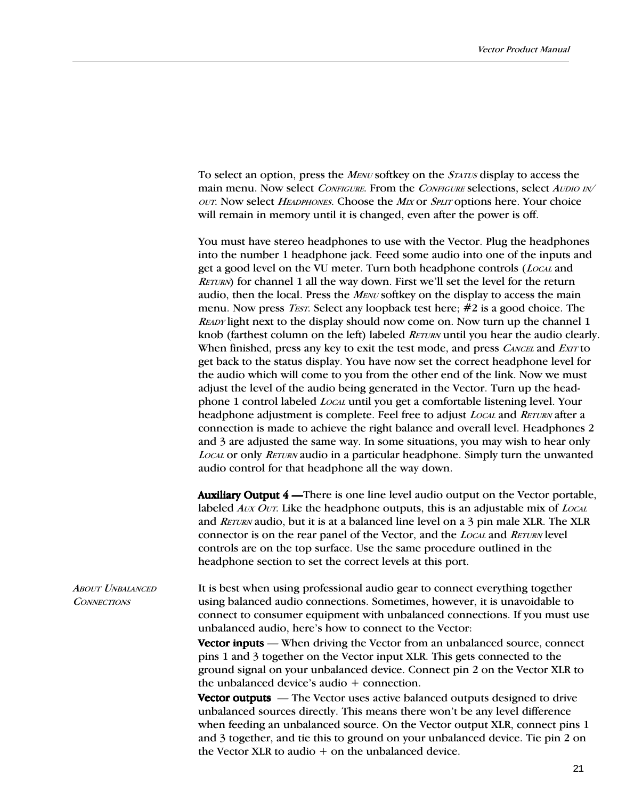To select an option, press the *MENU* softkey on the *STATUS* display to access the main menu. Now select CONFIGURE. From the CONFIGURE selections, select AUDIO IN/ OUT. Now select HEADPHONES. Choose the MIX or SPLIT options here. Your choice will remain in memory until it is changed, even after the power is off.

You must have stereo headphones to use with the Vector. Plug the headphones into the number 1 headphone jack. Feed some audio into one of the inputs and get a good level on the VU meter. Turn both headphone controls (*Local* and  $RETURN)$  for channel 1 all the way down. First we'll set the level for the return audio, then the local. Press the  $M_{ENU}$  softkey on the display to access the main menu. Now press *TEST*. Select any loopback test here;  $\#2$  is a good choice. The READY light next to the display should now come on. Now turn up the channel 1 knob (farthest column on the left) labeled *RETURN* until you hear the audio clearly. When finished, press any key to exit the test mode, and press *CANCEL* and *EXIT* to get back to the status display. You have now set the correct headphone level for the audio which will come to you from the other end of the link. Now we must adjust the level of the audio being generated in the Vector. Turn up the headphone 1 control labeled LOCAL until you get a comfortable listening level. Your headphone adjustment is complete. Feel free to adjust *Local* and *RETURN* after a connection is made to achieve the right balance and overall level. Headphones 2 and 3 are adjusted the same way. In some situations, you may wish to hear only LOCAL or only RETURN audio in a particular headphone. Simply turn the unwanted audio control for that headphone all the way down.

**Auxiliary Output 4** — There is one line level audio output on the Vector portable, labeled  $AUX$  OUT. Like the headphone outputs, this is an adjustable mix of  $Local$ and RETURN audio, but it is at a balanced line level on a 3 pin male XLR. The XLR connector is on the rear panel of the Vector, and the LOCAL and RETURN level controls are on the top surface. Use the same procedure outlined in the headphone section to set the correct levels at this port.

It is best when using professional audio gear to connect everything together using balanced audio connections. Sometimes, however, it is unavoidable to connect to consumer equipment with unbalanced connections. If you must use unbalanced audio, here's how to connect to the Vector: **ABOUT UNBALANCED CONNECTIONS** 

> Vector inputs — When driving the Vector from an unbalanced source, connect pins 1 and 3 together on the Vector input XLR. This gets connected to the ground signal on your unbalanced device. Connect pin 2 on the Vector XLR to the unbalanced device's audio  $+$  connection.

> **Vector outputs** — The Vector uses active balanced outputs designed to drive unbalanced sources directly. This means there won't be any level difference when feeding an unbalanced source. On the Vector output XLR, connect pins 1 and 3 together, and tie this to ground on your unbalanced device. Tie pin 2 on the Vector XLR to audio + on the unbalanced device.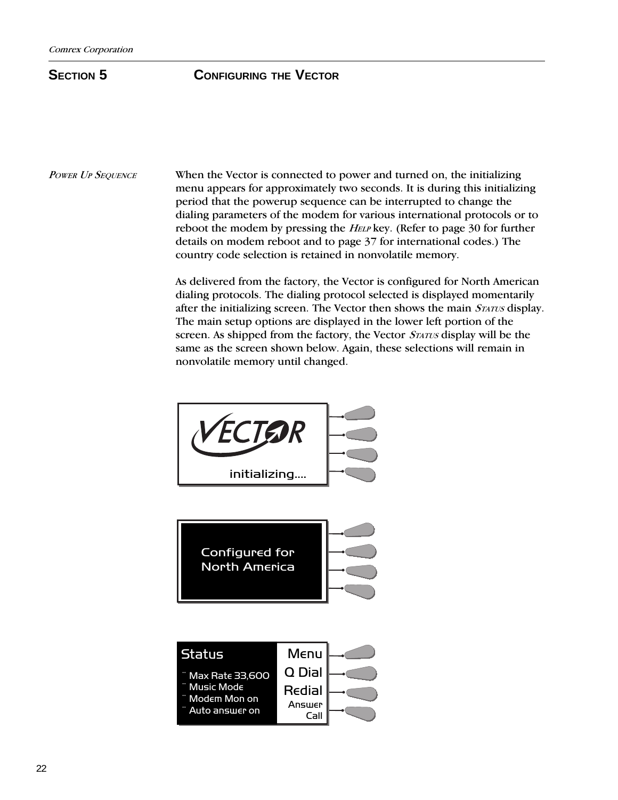## **SECTION 5 CONFIGURING THE VECTOR**

POWER UP SEQUENCE

When the Vector is connected to power and turned on, the initializing menu appears for approximately two seconds. It is during this initializing period that the powerup sequence can be interrupted to change the dialing parameters of the modem for various international protocols or to reboot the modem by pressing the *HELP* key. (Refer to page 30 for further details on modem reboot and to page 37 for international codes.) The country code selection is retained in nonvolatile memory.

As delivered from the factory, the Vector is configured for North American dialing protocols. The dialing protocol selected is displayed momentarily after the initializing screen. The Vector then shows the main STATUS display. The main setup options are displayed in the lower left portion of the screen. As shipped from the factory, the Vector *STATUS* display will be the same as the screen shown below. Again, these selections will remain in nonvolatile memory until changed.



Configured for North America

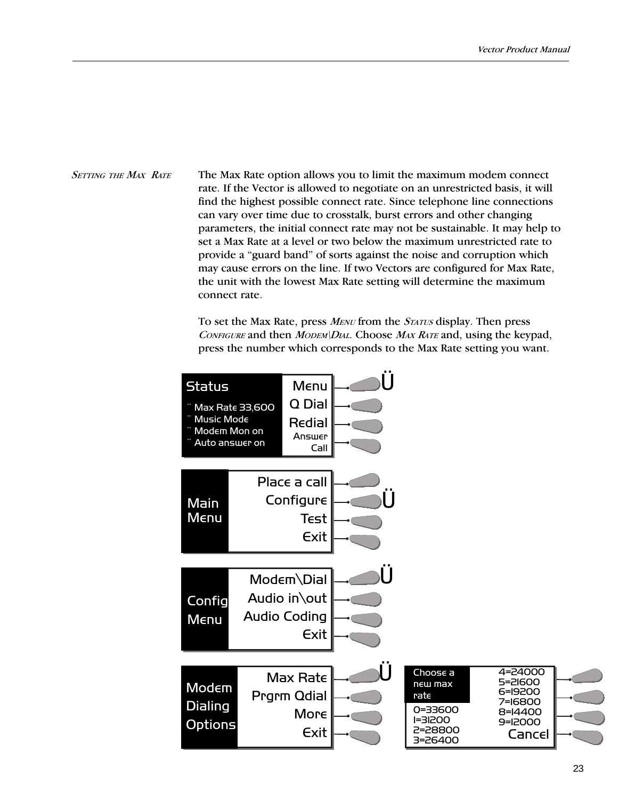## The Max Rate option allows you to limit the maximum modem connect rate. If the Vector is allowed to negotiate on an unrestricted basis, it will find the highest possible connect rate. Since telephone line connections can vary over time due to crosstalk, burst errors and other changing parameters, the initial connect rate may not be sustainable. It may help to set a Max Rate at a level or two below the maximum unrestricted rate to provide a "guard band" of sorts against the noise and corruption which may cause errors on the line. If two Vectors are configured for Max Rate, the unit with the lowest Max Rate setting will determine the maximum connect rate. SETTING THE MAX RATE

To set the Max Rate, press MENU from the STATUS display. Then press CONFIGURE and then MODEM\DIAL. Choose  $MAX RATE$  and, using the keypad, press the number which corresponds to the Max Rate setting you want.

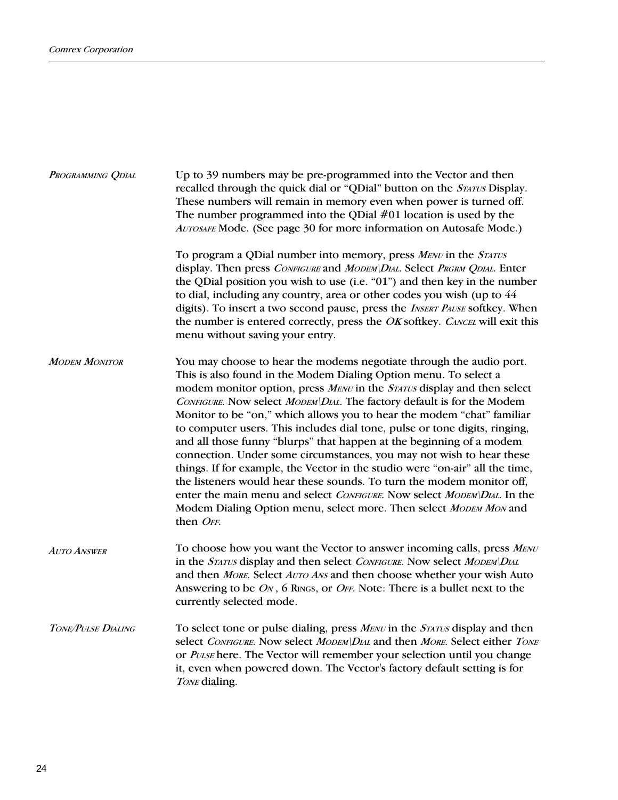| PROGRAMMING QDIAL    | Up to 39 numbers may be pre-programmed into the Vector and then<br>recalled through the quick dial or "QDial" button on the STATUS Display.<br>These numbers will remain in memory even when power is turned off.<br>The number programmed into the QDial $#01$ location is used by the<br>AUTOSAFE Mode. (See page 30 for more information on Autosafe Mode.)                                                                                                                                                                                                                                                                                                                                                                                                                                                                                                                                                            |  |  |  |  |
|----------------------|---------------------------------------------------------------------------------------------------------------------------------------------------------------------------------------------------------------------------------------------------------------------------------------------------------------------------------------------------------------------------------------------------------------------------------------------------------------------------------------------------------------------------------------------------------------------------------------------------------------------------------------------------------------------------------------------------------------------------------------------------------------------------------------------------------------------------------------------------------------------------------------------------------------------------|--|--|--|--|
|                      | To program a QDial number into memory, press MENU in the STATUS<br>display. Then press CONFIGURE and MODEM\DIAL. Select PRGRM QDIAL. Enter<br>the QDial position you wish to use (i.e. "01") and then key in the number<br>to dial, including any country, area or other codes you wish (up to 44<br>digits). To insert a two second pause, press the INSERT PAUSE softkey. When<br>the number is entered correctly, press the OK softkey. CANCEL will exit this<br>menu without saving your entry.                                                                                                                                                                                                                                                                                                                                                                                                                       |  |  |  |  |
| <b>MODEM MONITOR</b> | You may choose to hear the modems negotiate through the audio port.<br>This is also found in the Modem Dialing Option menu. To select a<br>modem monitor option, press MENU in the STATUS display and then select<br>CONFIGURE. Now select MODEM\DIAL. The factory default is for the Modem<br>Monitor to be "on," which allows you to hear the modem "chat" familiar<br>to computer users. This includes dial tone, pulse or tone digits, ringing,<br>and all those funny "blurps" that happen at the beginning of a modem<br>connection. Under some circumstances, you may not wish to hear these<br>things. If for example, the Vector in the studio were "on-air" all the time,<br>the listeners would hear these sounds. To turn the modem monitor off,<br>enter the main menu and select CONFIGURE. Now select MODEM\DIAL. In the<br>Modem Dialing Option menu, select more. Then select MODEM MON and<br>then OFF. |  |  |  |  |
| <b>AUTO ANSWER</b>   | To choose how you want the Vector to answer incoming calls, press MENU<br>in the STATUS display and then select CONFIGURE. Now select MODEM\DIAL<br>and then MORE. Select AUTO ANS and then choose whether your wish Auto<br>Answering to be ON, 6 RINGS, or OFF. Note: There is a bullet next to the<br>currently selected mode.                                                                                                                                                                                                                                                                                                                                                                                                                                                                                                                                                                                         |  |  |  |  |
| TONE/PULSE DIALING   | To select tone or pulse dialing, press MENU in the STATUS display and then<br>select CONFIGURE. Now select MODEM\DIAL and then MORE. Select either TONE<br>or PULSE here. The Vector will remember your selection until you change<br>it, even when powered down. The Vector's factory default setting is for<br>TONE dialing.                                                                                                                                                                                                                                                                                                                                                                                                                                                                                                                                                                                            |  |  |  |  |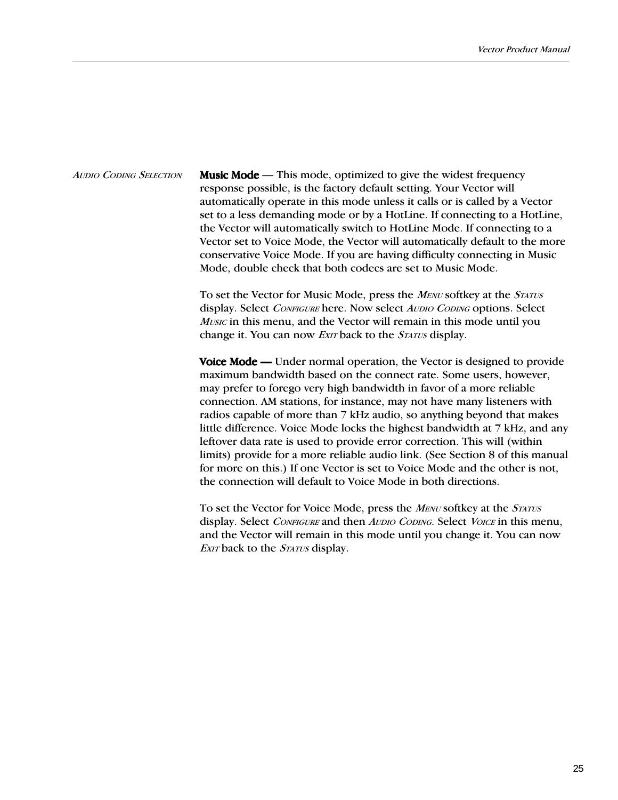*AUDIO CODING SELECTION* **Music Mode** — This mode, optimized to give the widest frequency response possible, is the factory default setting. Your Vector will automatically operate in this mode unless it calls or is called by a Vector set to a less demanding mode or by a HotLine. If connecting to a HotLine, the Vector will automatically switch to HotLine Mode. If connecting to a Vector set to Voice Mode, the Vector will automatically default to the more conservative Voice Mode. If you are having difficulty connecting in Music Mode, double check that both codecs are set to Music Mode.

> To set the Vector for Music Mode, press the MENU softkey at the STATUS display. Select CONFIGURE here. Now select AUDIO CODING options. Select Music in this menu, and the Vector will remain in this mode until you change it. You can now *EXIT* back to the *STATUS* display.

Voice Mode — Under normal operation, the Vector is designed to provide maximum bandwidth based on the connect rate. Some users, however, may prefer to forego very high bandwidth in favor of a more reliable connection. AM stations, for instance, may not have many listeners with radios capable of more than 7 kHz audio, so anything beyond that makes little difference. Voice Mode locks the highest bandwidth at 7 kHz, and any leftover data rate is used to provide error correction. This will (within limits) provide for a more reliable audio link. (See Section 8 of this manual for more on this.) If one Vector is set to Voice Mode and the other is not, the connection will default to Voice Mode in both directions.

To set the Vector for Voice Mode, press the *MENU* softkey at the *STATUS* display. Select CONFIGURE and then AUDIO CODING. Select VOICE in this menu, and the Vector will remain in this mode until you change it. You can now EXIT back to the *STATUS* display.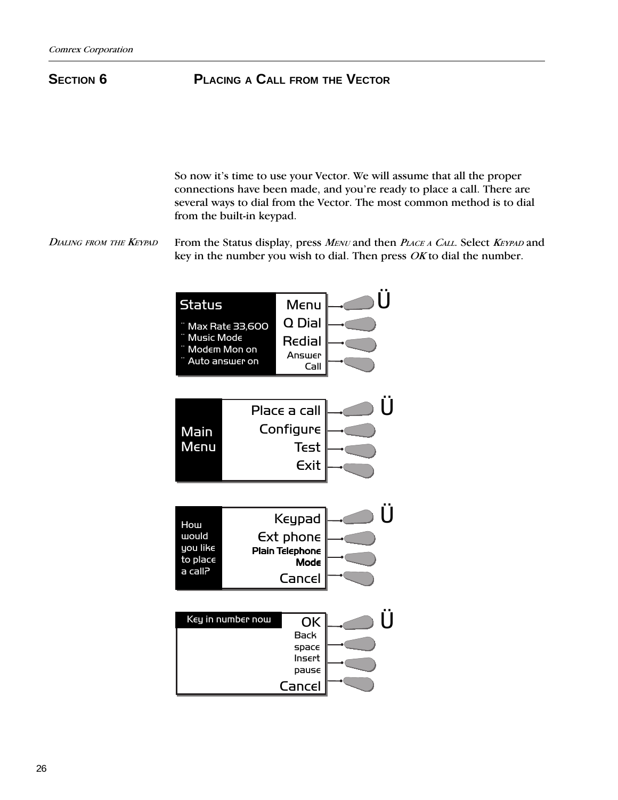## **SECTION 6PLACING A CALL FROM THE VECTOR**

So now it's time to use your Vector. We will assume that all the proper connections have been made, and you're ready to place a call. There are several ways to dial from the Vector. The most common method is to dial from the built-in keypad.

From the Status display, press MENU and then PLACE A CALL. Select KEYPAD and key in the number you wish to dial. Then press *OK* to dial the number. DIALING FROM THE KEYPAD

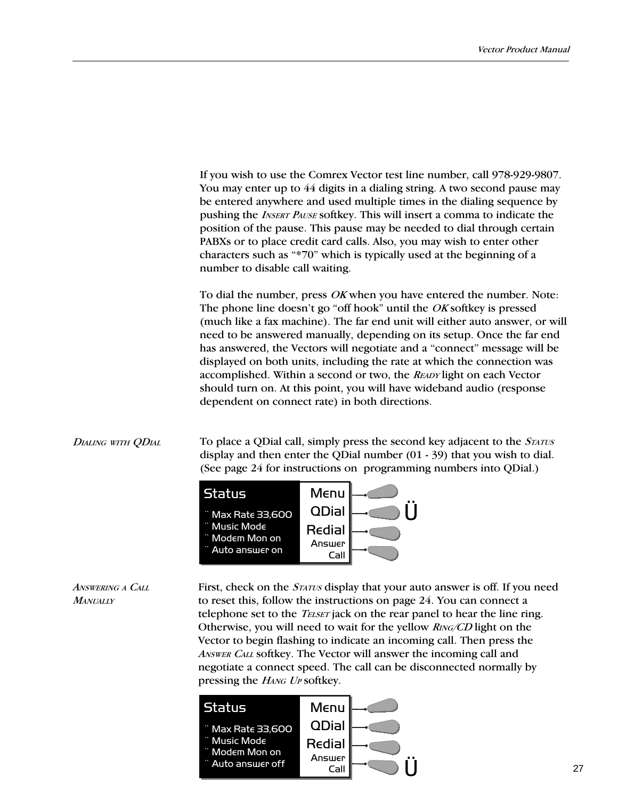If you wish to use the Comrex Vector test line number, call 978-929-9807. You may enter up to 44 digits in a dialing string. A two second pause may be entered anywhere and used multiple times in the dialing sequence by pushing the INSERT PAUSE softkey. This will insert a comma to indicate the position of the pause. This pause may be needed to dial through certain PABXs or to place credit card calls. Also, you may wish to enter other characters such as "\*70" which is typically used at the beginning of a number to disable call waiting.

To dial the number, press OK when you have entered the number. Note: The phone line doesn't go "off hook" until the  $OK$  softkey is pressed (much like a fax machine). The far end unit will either auto answer, or will need to be answered manually, depending on its setup. Once the far end has answered, the Vectors will negotiate and a "connect" message will be displayed on both units, including the rate at which the connection was accomplished. Within a second or two, the READY light on each Vector should turn on. At this point, you will have wideband audio (response dependent on connect rate) in both directions.

## DIALING WITH ODIAL

To place a QDial call, simply press the second key adjacent to the *STATUS* display and then enter the QDial number (01 - 39) that you wish to dial. (See page 24 for instructions on programming numbers into QDial.)



ANSWERING A CALL **MANUALLY** First, check on the *STATUS* display that your auto answer is off. If you need to reset this, follow the instructions on page 24. You can connect a telephone set to the *TELSET* jack on the rear panel to hear the line ring. Otherwise, you will need to wait for the yellow RING/CD light on the Vector to begin flashing to indicate an incoming call. Then press the ANSWER CALL softkey. The Vector will answer the incoming call and negotiate a connect speed. The call can be disconnected normally by pressing the HANG UP softkey.

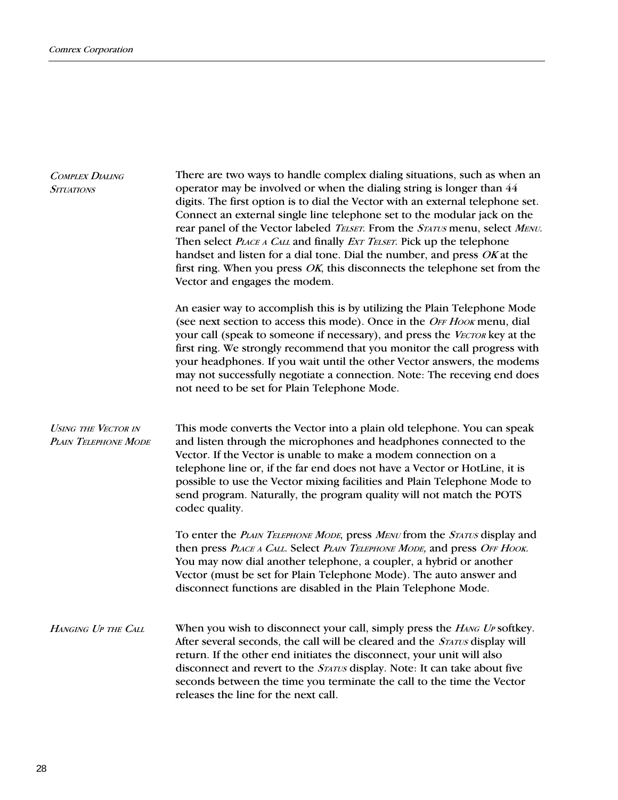| <b>COMPLEX DIALING</b><br><b>SITUATIONS</b>        | There are two ways to handle complex dialing situations, such as when an<br>operator may be involved or when the dialing string is longer than 44<br>digits. The first option is to dial the Vector with an external telephone set.<br>Connect an external single line telephone set to the modular jack on the<br>rear panel of the Vector labeled TELSET. From the STATUS menu, select MENU.<br>Then select <i>PLACE A CALL</i> and finally <i>EXT TELSET</i> . Pick up the telephone<br>handset and listen for a dial tone. Dial the number, and press OK at the<br>first ring. When you press $OK$ , this disconnects the telephone set from the<br>Vector and engages the modem. |  |  |
|----------------------------------------------------|---------------------------------------------------------------------------------------------------------------------------------------------------------------------------------------------------------------------------------------------------------------------------------------------------------------------------------------------------------------------------------------------------------------------------------------------------------------------------------------------------------------------------------------------------------------------------------------------------------------------------------------------------------------------------------------|--|--|
|                                                    | An easier way to accomplish this is by utilizing the Plain Telephone Mode<br>(see next section to access this mode). Once in the OFF Hook menu, dial<br>your call (speak to someone if necessary), and press the VECTOR key at the<br>first ring. We strongly recommend that you monitor the call progress with<br>your headphones. If you wait until the other Vector answers, the modems<br>may not successfully negotiate a connection. Note: The receving end does<br>not need to be set for Plain Telephone Mode.                                                                                                                                                                |  |  |
| <b>USING THE VECTOR IN</b><br>PLAIN TELEPHONE MODE | This mode converts the Vector into a plain old telephone. You can speak<br>and listen through the microphones and headphones connected to the<br>Vector. If the Vector is unable to make a modem connection on a<br>telephone line or, if the far end does not have a Vector or HotLine, it is<br>possible to use the Vector mixing facilities and Plain Telephone Mode to<br>send program. Naturally, the program quality will not match the POTS<br>codec quality.                                                                                                                                                                                                                  |  |  |
|                                                    | To enter the PLAIN TELEPHONE MODE, press MENU from the STATUS display and<br>then press PLACE A CALL. Select PLAIN TELEPHONE MODE, and press OFF HOOK.<br>You may now dial another telephone, a coupler, a hybrid or another<br>Vector (must be set for Plain Telephone Mode). The auto answer and<br>disconnect functions are disabled in the Plain Telephone Mode.                                                                                                                                                                                                                                                                                                                  |  |  |
| HANGING UP THE CALL                                | When you wish to disconnect your call, simply press the <i>HANG UP</i> softkey.<br>After several seconds, the call will be cleared and the STATUS display will<br>return. If the other end initiates the disconnect, your unit will also<br>disconnect and revert to the STATUS display. Note: It can take about five<br>seconds between the time you terminate the call to the time the Vector<br>releases the line for the next call.                                                                                                                                                                                                                                               |  |  |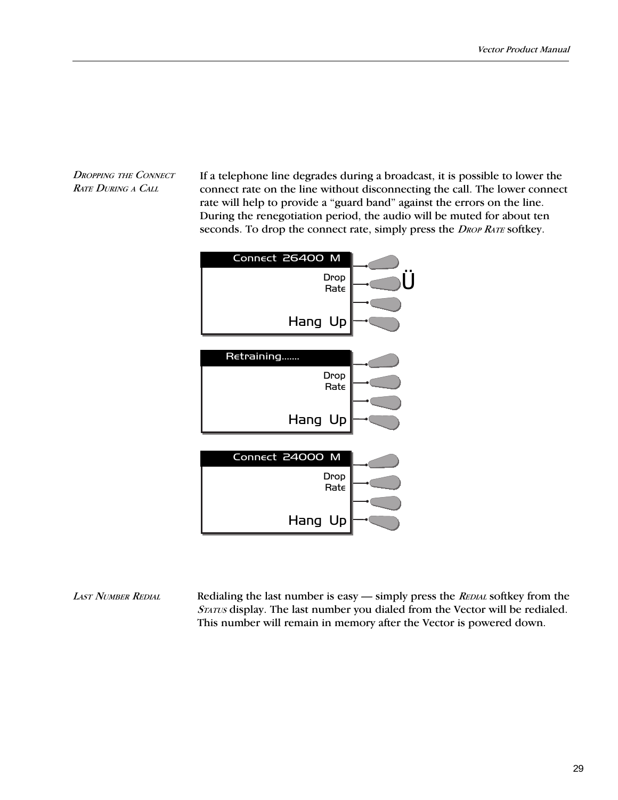DROPPING THE CONNECT RATE DURING A CALL

If a telephone line degrades during a broadcast, it is possible to lower the connect rate on the line without disconnecting the call. The lower connect rate will help to provide a "guard band" against the errors on the line. During the renegotiation period, the audio will be muted for about ten seconds. To drop the connect rate, simply press the *DROP RATE* softkey.



Redialing the last number is easy  $-$  simply press the REDIAL softkey from the STATUS display. The last number you dialed from the Vector will be redialed. This number will remain in memory after the Vector is powered down. LAST NUMBER REDIAL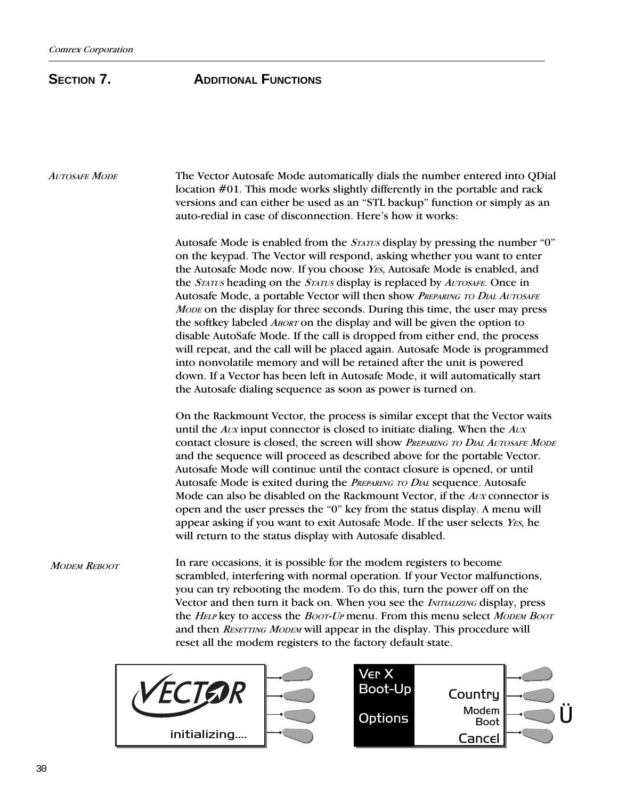## **SECTION 7. ADDITIONAL FUNCTIONS**

AUTOSAFE MODE The Vector Autosafe Mode automatically dials the number entered into QDial location #01. This mode works slightly differently in the portable and rack versions and can either be used as an "STL backup" function or simply as an auto-redial in case of disconnection. Here's how it works: Autosafe Mode is enabled from the  $S_{TATUS}$  display by pressing the number "0" on the keypad. The Vector will respond, asking whether you want to enter the Autosafe Mode now. If you choose *YES*, Autosafe Mode is enabled, and the STATUS heading on the STATUS display is replaced by AUTOSAFE. Once in Autosafe Mode, a portable Vector will then show PREPARING TO DIAL AUTOSAFE MODE on the display for three seconds. During this time, the user may press the softkey labeled *ABORT* on the display and will be given the option to disable AutoSafe Mode. If the call is dropped from either end, the process will repeat, and the call will be placed again. Autosafe Mode is programmed into nonvolatile memory and will be retained after the unit is powered down. If a Vector has been left in Autosafe Mode, it will automatically start the Autosafe dialing sequence as soon as power is turned on. On the Rackmount Vector, the process is similar except that the Vector waits until the  $AUX$  input connector is closed to initiate dialing. When the  $AUX$ contact closure is closed, the screen will show PREPARING TO DIAL AUTOSAFE MODE and the sequence will proceed as described above for the portable Vector. Autosafe Mode will continue until the contact closure is opened, or until Autosafe Mode is exited during the PREPARING TO DIAL sequence. Autosafe Mode can also be disabled on the Rackmount Vector, if the Aux connector is open and the user presses the "0" key from the status display. A menu will appear asking if you want to exit Autosafe Mode. If the user selects YES, he will return to the status display with Autosafe disabled. In rare occasions, it is possible for the modem registers to become scrambled, interfering with normal operation. If your Vector malfunctions, you can try rebooting the modem. To do this, turn the power off on the Vector and then turn it back on. When you see the *INITIALIZING* display, press the HELP key to access the Boot-UP menu. From this menu select MODEM BOOT MODEM REBOOT



and then RESETTING MODEM will appear in the display. This procedure will

reset all the modem registers to the factory default state.

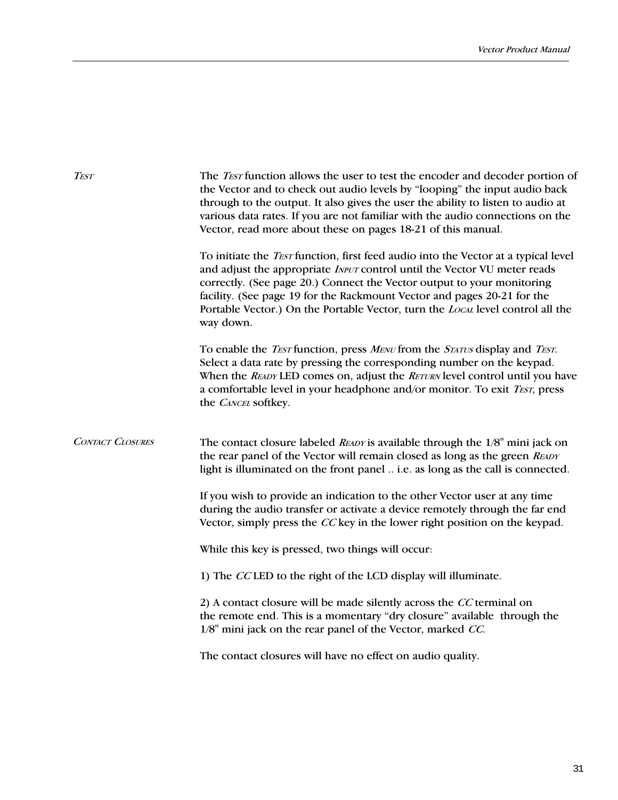| <b>TEST</b>             | The <i>Test</i> function allows the user to test the encoder and decoder portion of<br>the Vector and to check out audio levels by "looping" the input audio back<br>through to the output. It also gives the user the ability to listen to audio at<br>various data rates. If you are not familiar with the audio connections on the<br>Vector, read more about these on pages 18-21 of this manual.                     |  |  |
|-------------------------|---------------------------------------------------------------------------------------------------------------------------------------------------------------------------------------------------------------------------------------------------------------------------------------------------------------------------------------------------------------------------------------------------------------------------|--|--|
|                         | To initiate the <i>TEST</i> function, first feed audio into the Vector at a typical level<br>and adjust the appropriate INPUT control until the Vector VU meter reads<br>correctly. (See page 20.) Connect the Vector output to your monitoring<br>facility. (See page 19 for the Rackmount Vector and pages 20-21 for the<br>Portable Vector.) On the Portable Vector, turn the LOCAL level control all the<br>way down. |  |  |
|                         | To enable the <i>TEST</i> function, press <i>MENU</i> from the <i>STATUS</i> display and <i>TEST</i> .<br>Select a data rate by pressing the corresponding number on the keypad.<br>When the READY LED comes on, adjust the RETURN level control until you have<br>a comfortable level in your headphone and/or monitor. To exit TEST, press<br>the CANCEL softkey.                                                       |  |  |
| <b>CONTACT CLOSURES</b> | The contact closure labeled <i>READY</i> is available through the $1/8$ <sup>"</sup> mini jack on<br>the rear panel of the Vector will remain closed as long as the green READY<br>light is illuminated on the front panel  i.e. as long as the call is connected.                                                                                                                                                        |  |  |
|                         | If you wish to provide an indication to the other Vector user at any time<br>during the audio transfer or activate a device remotely through the far end<br>Vector, simply press the CC key in the lower right position on the keypad.                                                                                                                                                                                    |  |  |
|                         | While this key is pressed, two things will occur:                                                                                                                                                                                                                                                                                                                                                                         |  |  |
|                         | 1) The CCLED to the right of the LCD display will illuminate.                                                                                                                                                                                                                                                                                                                                                             |  |  |
|                         | 2) A contact closure will be made silently across the CC terminal on<br>the remote end. This is a momentary "dry closure" available through the<br>1/8" mini jack on the rear panel of the Vector, marked CC.                                                                                                                                                                                                             |  |  |
|                         | The contact closures will have no effect on audio quality.                                                                                                                                                                                                                                                                                                                                                                |  |  |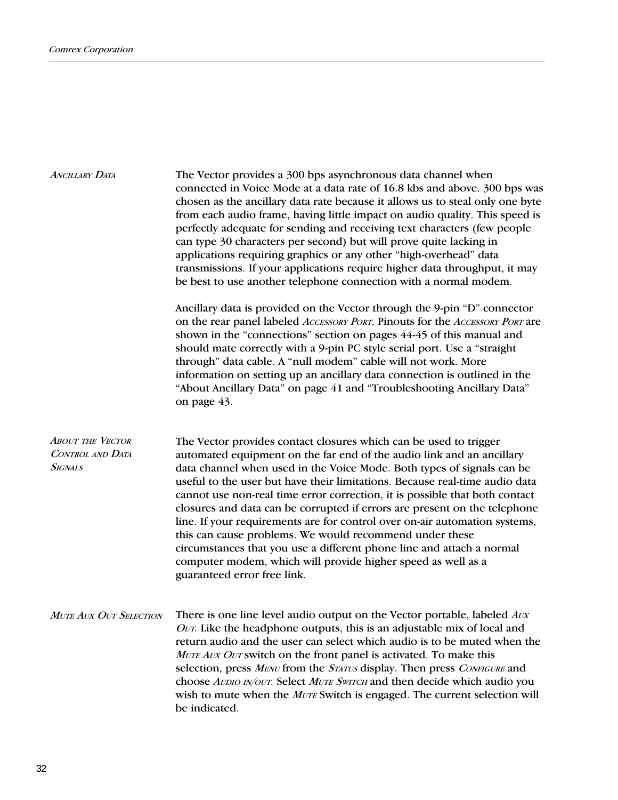| ANCILLARY DATA                                                | The Vector provides a 300 bps asynchronous data channel when<br>connected in Voice Mode at a data rate of 16.8 kbs and above. 300 bps was<br>chosen as the ancillary data rate because it allows us to steal only one byte<br>from each audio frame, having little impact on audio quality. This speed is<br>perfectly adequate for sending and receiving text characters (few people<br>can type 30 characters per second) but will prove quite lacking in<br>applications requiring graphics or any other "high-overhead" data<br>transmissions. If your applications require higher data throughput, it may<br>be best to use another telephone connection with a normal modem.                                                                                               |
|---------------------------------------------------------------|----------------------------------------------------------------------------------------------------------------------------------------------------------------------------------------------------------------------------------------------------------------------------------------------------------------------------------------------------------------------------------------------------------------------------------------------------------------------------------------------------------------------------------------------------------------------------------------------------------------------------------------------------------------------------------------------------------------------------------------------------------------------------------|
|                                                               | Ancillary data is provided on the Vector through the 9-pin "D" connector<br>on the rear panel labeled ACCESSORY PORT. Pinouts for the ACCESSORY PORT are<br>shown in the "connections" section on pages 44-45 of this manual and<br>should mate correctly with a 9-pin PC style serial port. Use a "straight<br>through" data cable. A "null modem" cable will not work. More<br>information on setting up an ancillary data connection is outlined in the<br>"About Ancillary Data" on page 41 and "Troubleshooting Ancillary Data"<br>on page 43.                                                                                                                                                                                                                              |
| <b>ABOUT THE VECTOR</b><br>CONTROL AND DATA<br><b>SIGNALS</b> | The Vector provides contact closures which can be used to trigger<br>automated equipment on the far end of the audio link and an ancillary<br>data channel when used in the Voice Mode. Both types of signals can be<br>useful to the user but have their limitations. Because real-time audio data<br>cannot use non-real time error correction, it is possible that both contact<br>closures and data can be corrupted if errors are present on the telephone<br>line. If your requirements are for control over on-air automation systems,<br>this can cause problems. We would recommend under these<br>circumstances that you use a different phone line and attach a normal<br>computer modem, which will provide higher speed as well as a<br>guaranteed error free link. |
| Mute Aux Out Selection                                        | There is one line level audio output on the Vector portable, labeled Aux<br>OUT. Like the headphone outputs, this is an adjustable mix of local and<br>return audio and the user can select which audio is to be muted when the<br>MUTE AUX OUT switch on the front panel is activated. To make this<br>selection, press MENU from the STATUS display. Then press CONFIGURE and<br>choose AUDIO IN/OUT. Select MUTE SWITCH and then decide which audio you<br>wish to mute when the MUTE Switch is engaged. The current selection will<br>be indicated.                                                                                                                                                                                                                          |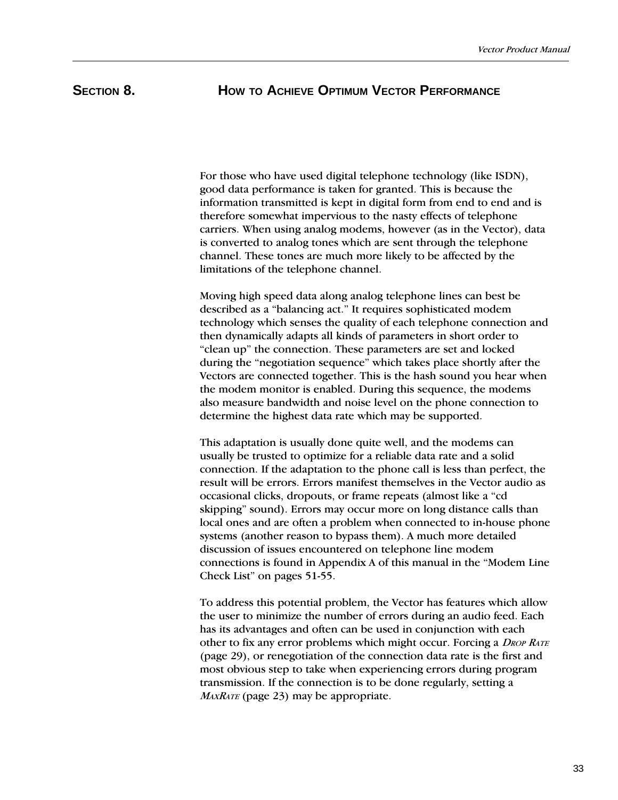## SECTION 8. **HOW TO ACHIEVE OPTIMUM VECTOR PERFORMANCE**

For those who have used digital telephone technology (like ISDN), good data performance is taken for granted. This is because the information transmitted is kept in digital form from end to end and is therefore somewhat impervious to the nasty effects of telephone carriers. When using analog modems, however (as in the Vector), data is converted to analog tones which are sent through the telephone channel. These tones are much more likely to be affected by the limitations of the telephone channel.

Moving high speed data along analog telephone lines can best be described as a "balancing act." It requires sophisticated modem technology which senses the quality of each telephone connection and then dynamically adapts all kinds of parameters in short order to "clean up" the connection. These parameters are set and locked during the "negotiation sequence" which takes place shortly after the Vectors are connected together. This is the hash sound you hear when the modem monitor is enabled. During this sequence, the modems also measure bandwidth and noise level on the phone connection to determine the highest data rate which may be supported.

This adaptation is usually done quite well, and the modems can usually be trusted to optimize for a reliable data rate and a solid connection. If the adaptation to the phone call is less than perfect, the result will be errors. Errors manifest themselves in the Vector audio as occasional clicks, dropouts, or frame repeats (almost like a "cd skipping" sound). Errors may occur more on long distance calls than local ones and are often a problem when connected to in-house phone systems (another reason to bypass them). A much more detailed discussion of issues encountered on telephone line modem connections is found in Appendix A of this manual in the "Modem Line" Check List" on pages 51-55.

To address this potential problem, the Vector has features which allow the user to minimize the number of errors during an audio feed. Each has its advantages and often can be used in conjunction with each other to fix any error problems which might occur. Forcing a *DROP RATE* (page 29), or renegotiation of the connection data rate is the first and most obvious step to take when experiencing errors during program transmission. If the connection is to be done regularly, setting a  $M_{AXRATE}$  (page 23) may be appropriate.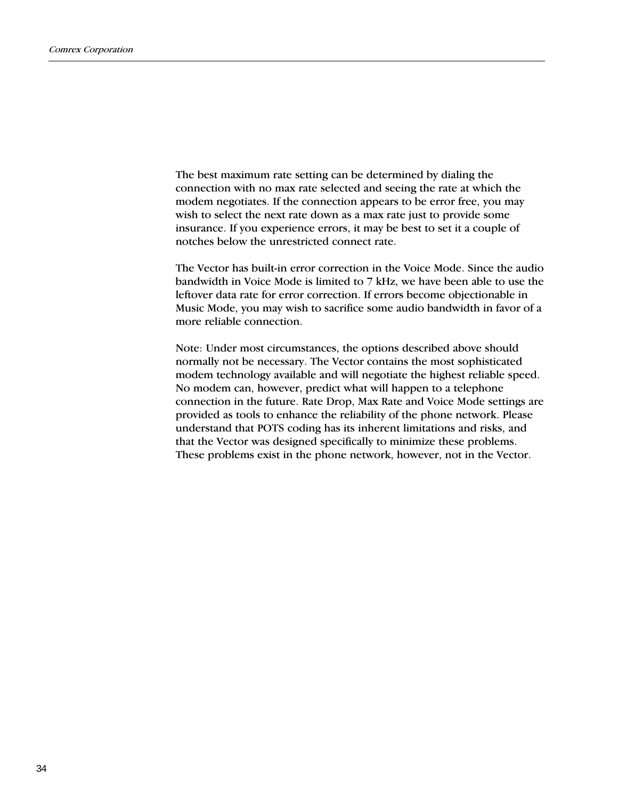The best maximum rate setting can be determined by dialing the connection with no max rate selected and seeing the rate at which the modem negotiates. If the connection appears to be error free, you may wish to select the next rate down as a max rate just to provide some insurance. If you experience errors, it may be best to set it a couple of notches below the unrestricted connect rate.

The Vector has built-in error correction in the Voice Mode. Since the audio bandwidth in Voice Mode is limited to 7 kHz, we have been able to use the leftover data rate for error correction. If errors become objectionable in Music Mode, you may wish to sacrifice some audio bandwidth in favor of a more reliable connection.

Note: Under most circumstances, the options described above should normally not be necessary. The Vector contains the most sophisticated modem technology available and will negotiate the highest reliable speed. No modem can, however, predict what will happen to a telephone connection in the future. Rate Drop, Max Rate and Voice Mode settings are provided as tools to enhance the reliability of the phone network. Please understand that POTS coding has its inherent limitations and risks, and that the Vector was designed specifically to minimize these problems. These problems exist in the phone network, however, not in the Vector.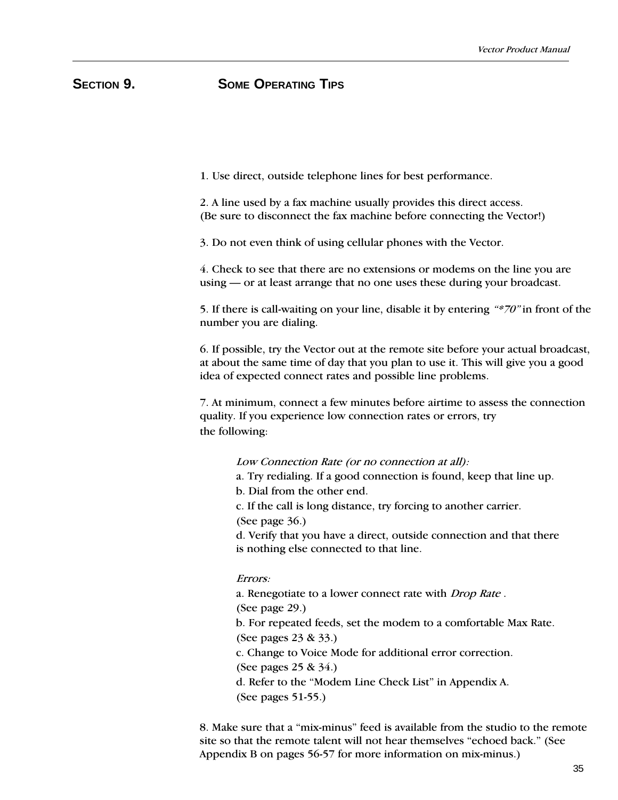## **SECTION 9. SOME OPERATING TIPS**

1. Use direct, outside telephone lines for best performance.

2. A line used by a fax machine usually provides this direct access. (Be sure to disconnect the fax machine before connecting the Vector!)

3. Do not even think of using cellular phones with the Vector.

4. Check to see that there are no extensions or modems on the line you are using — or at least arrange that no one uses these during your broadcast.

5. If there is call-waiting on your line, disable it by entering  $**70"$  in front of the number you are dialing.

6. If possible, try the Vector out at the remote site before your actual broadcast, at about the same time of day that you plan to use it. This will give you a good idea of expected connect rates and possible line problems.

7. At minimum, connect a few minutes before airtime to assess the connection quality. If you experience low connection rates or errors, try the following:

### Low Connection Rate (or no connection at all):

a. Try redialing. If a good connection is found, keep that line up.

b. Dial from the other end.

c. If the call is long distance, try forcing to another carrier.

(See page 36.)

d. Verify that you have a direct, outside connection and that there is nothing else connected to that line.

#### Errors:

a. Renegotiate to a lower connect rate with Drop Rate . (See page 29.) b. For repeated feeds, set the modem to a comfortable Max Rate. (See pages 23 & 33.) c. Change to Voice Mode for additional error correction. (See pages 25 & 34.)

d. Refer to the "Modem Line Check List" in Appendix A.

(See pages 51-55.)

8. Make sure that a "mix-minus" feed is available from the studio to the remote site so that the remote talent will not hear themselves "echoed back." (See Appendix B on pages 56-57 for more information on mix-minus.)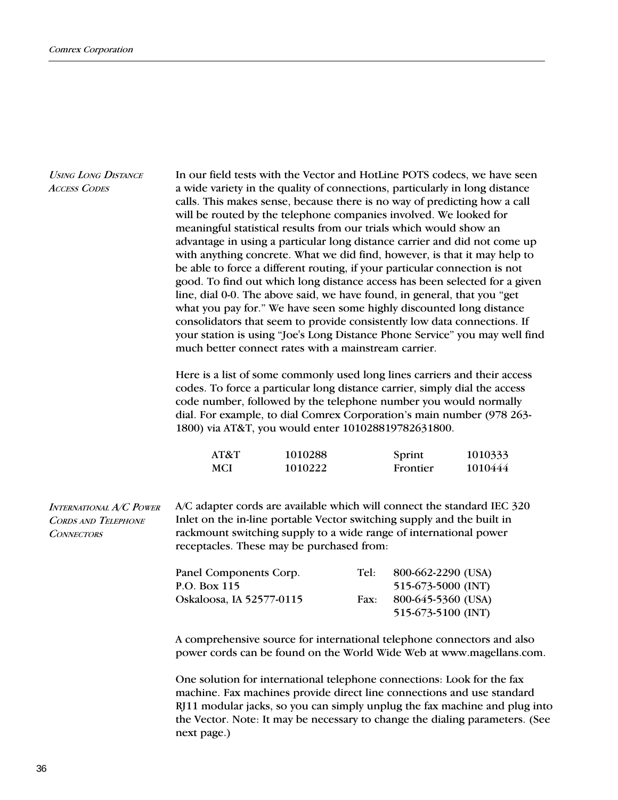| <b>USING LONG DISTANCE</b><br><b>ACCESS CODES</b>                          | In our field tests with the Vector and HotLine POTS codecs, we have seen<br>a wide variety in the quality of connections, particularly in long distance<br>calls. This makes sense, because there is no way of predicting how a call<br>will be routed by the telephone companies involved. We looked for<br>meaningful statistical results from our trials which would show an<br>advantage in using a particular long distance carrier and did not come up<br>with anything concrete. What we did find, however, is that it may help to<br>be able to force a different routing, if your particular connection is not<br>good. To find out which long distance access has been selected for a given<br>line, dial 0-0. The above said, we have found, in general, that you "get<br>what you pay for." We have seen some highly discounted long distance<br>consolidators that seem to provide consistently low data connections. If<br>your station is using "Joe's Long Distance Phone Service" you may well find<br>much better connect rates with a mainstream carrier. |                    |      |                    |                    |  |
|----------------------------------------------------------------------------|------------------------------------------------------------------------------------------------------------------------------------------------------------------------------------------------------------------------------------------------------------------------------------------------------------------------------------------------------------------------------------------------------------------------------------------------------------------------------------------------------------------------------------------------------------------------------------------------------------------------------------------------------------------------------------------------------------------------------------------------------------------------------------------------------------------------------------------------------------------------------------------------------------------------------------------------------------------------------------------------------------------------------------------------------------------------------|--------------------|------|--------------------|--------------------|--|
|                                                                            | Here is a list of some commonly used long lines carriers and their access<br>codes. To force a particular long distance carrier, simply dial the access<br>code number, followed by the telephone number you would normally<br>dial. For example, to dial Comrex Corporation's main number (978 263-<br>1800) via AT&T, you would enter 101028819782631800.                                                                                                                                                                                                                                                                                                                                                                                                                                                                                                                                                                                                                                                                                                                  |                    |      |                    |                    |  |
|                                                                            | AT&T<br><b>MCI</b>                                                                                                                                                                                                                                                                                                                                                                                                                                                                                                                                                                                                                                                                                                                                                                                                                                                                                                                                                                                                                                                           | 1010288<br>1010222 |      | Sprint<br>Frontier | 1010333<br>1010444 |  |
| International A/C Power<br><b>CORDS AND TELEPHONE</b><br><b>CONNECTORS</b> | A/C adapter cords are available which will connect the standard IEC 320<br>Inlet on the in-line portable Vector switching supply and the built in<br>rackmount switching supply to a wide range of international power<br>receptacles. These may be purchased from:                                                                                                                                                                                                                                                                                                                                                                                                                                                                                                                                                                                                                                                                                                                                                                                                          |                    |      |                    |                    |  |
|                                                                            | Panel Components Corp.                                                                                                                                                                                                                                                                                                                                                                                                                                                                                                                                                                                                                                                                                                                                                                                                                                                                                                                                                                                                                                                       |                    | Tel: | 800-662-2290 (USA) |                    |  |
|                                                                            | P.O. Box 115                                                                                                                                                                                                                                                                                                                                                                                                                                                                                                                                                                                                                                                                                                                                                                                                                                                                                                                                                                                                                                                                 |                    |      | 515-673-5000 (INT) |                    |  |
|                                                                            | Oskaloosa, IA 52577-0115                                                                                                                                                                                                                                                                                                                                                                                                                                                                                                                                                                                                                                                                                                                                                                                                                                                                                                                                                                                                                                                     |                    | Fax: | 800-645-5360 (USA) |                    |  |
|                                                                            |                                                                                                                                                                                                                                                                                                                                                                                                                                                                                                                                                                                                                                                                                                                                                                                                                                                                                                                                                                                                                                                                              |                    |      | 515-673-5100 (INT) |                    |  |
|                                                                            | A comprehensive source for international telephone connectors and also<br>power cords can be found on the World Wide Web at www.magellans.com.                                                                                                                                                                                                                                                                                                                                                                                                                                                                                                                                                                                                                                                                                                                                                                                                                                                                                                                               |                    |      |                    |                    |  |
|                                                                            | One solution for international telephone connections: Look for the fax<br>machine. Fax machines provide direct line connections and use standard<br>RJ11 modular jacks, so you can simply unplug the fax machine and plug into                                                                                                                                                                                                                                                                                                                                                                                                                                                                                                                                                                                                                                                                                                                                                                                                                                               |                    |      |                    |                    |  |

next page.)

the Vector. Note: It may be necessary to change the dialing parameters. (See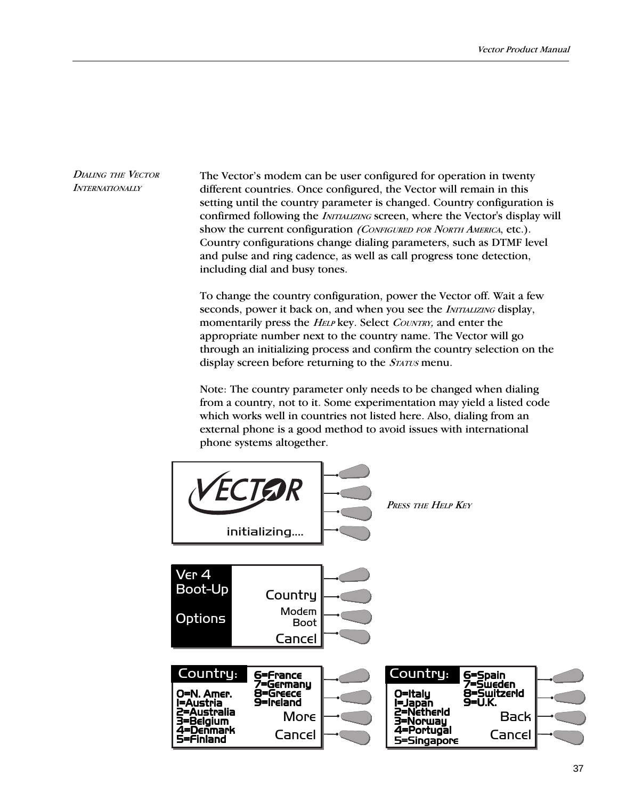DIALING THE VECTOR **INTERNATIONALLY** 

The Vector's modem can be user configured for operation in twenty different countries. Once configured, the Vector will remain in this setting until the country parameter is changed. Country configuration is confirmed following the *INITIALIZING* screen, where the Vector's display will show the current configuration (CONFIGURED FOR NORTH AMERICA, etc.). Country configurations change dialing parameters, such as DTMF level and pulse and ring cadence, as well as call progress tone detection, including dial and busy tones.

To change the country configuration, power the Vector off. Wait a few seconds, power it back on, and when you see the *INITIALIZING* display, momentarily press the *HELP* key. Select *COUNTRY*, and enter the appropriate number next to the country name. The Vector will go through an initializing process and confirm the country selection on the display screen before returning to the *STATUS* menu.

Note: The country parameter only needs to be changed when dialing from a country, not to it. Some experimentation may yield a listed code which works well in countries not listed here. Also, dialing from an external phone is a good method to avoid issues with international phone systems altogether.

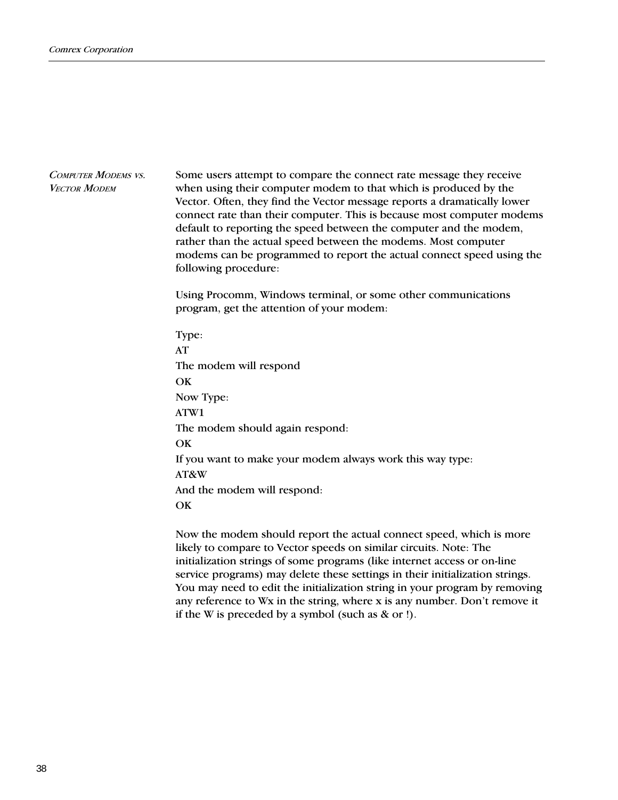Some users attempt to compare the connect rate message they receive when using their computer modem to that which is produced by the Vector. Often, they find the Vector message reports a dramatically lower connect rate than their computer. This is because most computer modems default to reporting the speed between the computer and the modem, rather than the actual speed between the modems. Most computer modems can be programmed to report the actual connect speed using the following procedure: COMPUTER MODEMS VS. **VECTOR MODEM** 

> Using Procomm, Windows terminal, or some other communications program, get the attention of your modem:

Type: AT The modem will respond **OK** Now Type: ATW1 The modem should again respond: **OK** If you want to make your modem always work this way type: AT&W And the modem will respond: **OK** 

Now the modem should report the actual connect speed, which is more likely to compare to Vector speeds on similar circuits. Note: The initialization strings of some programs (like internet access or on-line service programs) may delete these settings in their initialization strings. You may need to edit the initialization string in your program by removing any reference to  $Wx$  in the string, where  $x$  is any number. Don't remove it if the W is preceded by a symbol (such as & or !).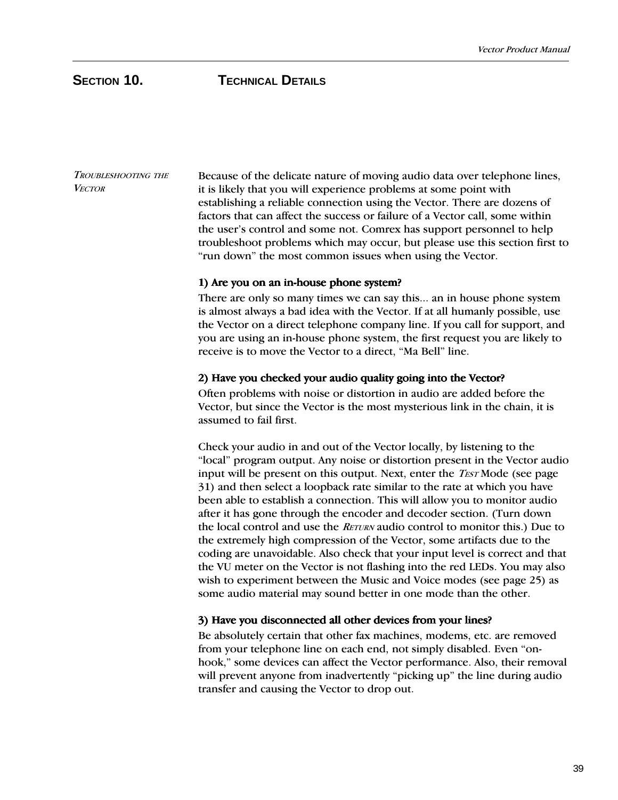## **SECTION 10. TECHNICAL DETAILS**

TROUBLESHOOTING THE **VECTOR** 

Because of the delicate nature of moving audio data over telephone lines, it is likely that you will experience problems at some point with establishing a reliable connection using the Vector. There are dozens of factors that can affect the success or failure of a Vector call, some within the user's control and some not. Comrex has support personnel to help troubleshoot problems which may occur, but please use this section first to "run down" the most common issues when using the Vector.

## 1) Are you on an in-house phone system?

There are only so many times we can say this... an in house phone system is almost always a bad idea with the Vector. If at all humanly possible, use the Vector on a direct telephone company line. If you call for support, and you are using an in-house phone system, the first request you are likely to receive is to move the Vector to a direct, "Ma Bell" line.

## 2) Have you checked your audio quality going into the Vector?

Often problems with noise or distortion in audio are added before the Vector, but since the Vector is the most mysterious link in the chain, it is assumed to fail first.

Check your audio in and out of the Vector locally, by listening to the "local" program output. Any noise or distortion present in the Vector audio input will be present on this output. Next, enter the *TEST* Mode (see page 31) and then select a loopback rate similar to the rate at which you have been able to establish a connection. This will allow you to monitor audio after it has gone through the encoder and decoder section. (Turn down the local control and use the RETURN audio control to monitor this.) Due to the extremely high compression of the Vector, some artifacts due to the coding are unavoidable. Also check that your input level is correct and that the VU meter on the Vector is not flashing into the red LEDs. You may also wish to experiment between the Music and Voice modes (see page 25) as some audio material may sound better in one mode than the other.

## 3) Have you disconnected all other devices from your lines?

Be absolutely certain that other fax machines, modems, etc. are removed from your telephone line on each end, not simply disabled. Even "onhook," some devices can affect the Vector performance. Also, their removal will prevent anyone from inadvertently "picking up" the line during audio transfer and causing the Vector to drop out.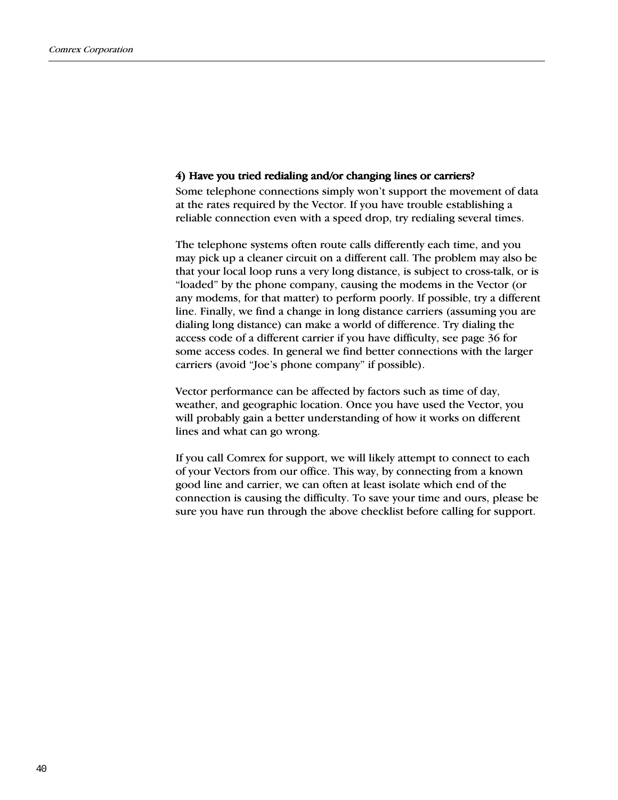### 4) Have you tried redialing and/or changing lines or carriers?

Some telephone connections simply won't support the movement of data at the rates required by the Vector. If you have trouble establishing a reliable connection even with a speed drop, try redialing several times.

The telephone systems often route calls differently each time, and you may pick up a cleaner circuit on a different call. The problem may also be that your local loop runs a very long distance, is subject to cross-talk, or is "loaded" by the phone company, causing the modems in the Vector (or any modems, for that matter) to perform poorly. If possible, try a different line. Finally, we find a change in long distance carriers (assuming you are dialing long distance) can make a world of difference. Try dialing the access code of a different carrier if you have difficulty, see page 36 for some access codes. In general we find better connections with the larger carriers (avoid "Joe's phone company" if possible).

Vector performance can be affected by factors such as time of day, weather, and geographic location. Once you have used the Vector, you will probably gain a better understanding of how it works on different lines and what can go wrong.

If you call Comrex for support, we will likely attempt to connect to each of your Vectors from our office. This way, by connecting from a known good line and carrier, we can often at least isolate which end of the connection is causing the difficulty. To save your time and ours, please be sure you have run through the above checklist before calling for support.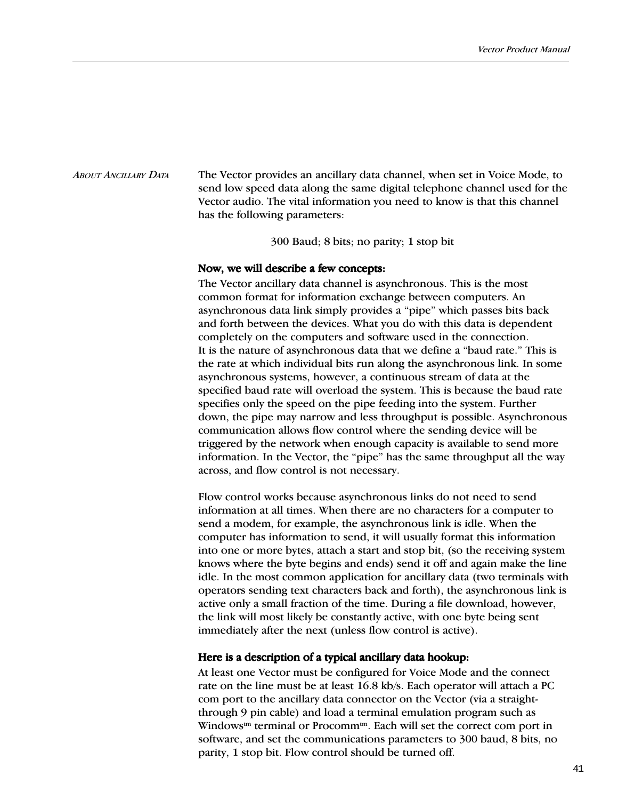#### The Vector provides an ancillary data channel, when set in Voice Mode, to send low speed data along the same digital telephone channel used for the Vector audio. The vital information you need to know is that this channel has the following parameters: ABOUT ANCILLARY DATA

300 Baud; 8 bits; no parity; 1 stop bit

## Now, we will describe a few concepts:

The Vector ancillary data channel is asynchronous. This is the most common format for information exchange between computers. An asynchronous data link simply provides a "pipe" which passes bits back and forth between the devices. What you do with this data is dependent completely on the computers and software used in the connection. It is the nature of asynchronous data that we define a "baud rate." This is the rate at which individual bits run along the asynchronous link. In some asynchronous systems, however, a continuous stream of data at the specified baud rate will overload the system. This is because the baud rate specifies only the speed on the pipe feeding into the system. Further down, the pipe may narrow and less throughput is possible. Asynchronous communication allows flow control where the sending device will be triggered by the network when enough capacity is available to send more information. In the Vector, the "pipe" has the same throughput all the way across, and flow control is not necessary.

Flow control works because asynchronous links do not need to send information at all times. When there are no characters for a computer to send a modem, for example, the asynchronous link is idle. When the computer has information to send, it will usually format this information into one or more bytes, attach a start and stop bit, (so the receiving system knows where the byte begins and ends) send it off and again make the line idle. In the most common application for ancillary data (two terminals with operators sending text characters back and forth), the asynchronous link is active only a small fraction of the time. During a file download, however, the link will most likely be constantly active, with one byte being sent immediately after the next (unless flow control is active).

## Here is a description of a typical ancillary data hookup:

At least one Vector must be configured for Voice Mode and the connect rate on the line must be at least 16.8 kb/s. Each operator will attach a PC com port to the ancillary data connector on the Vector (via a straightthrough 9 pin cable) and load a terminal emulation program such as Windows<sup>tm</sup> terminal or Procomm<sup>tm</sup>. Each will set the correct com port in software, and set the communications parameters to 300 baud, 8 bits, no parity, 1 stop bit. Flow control should be turned off.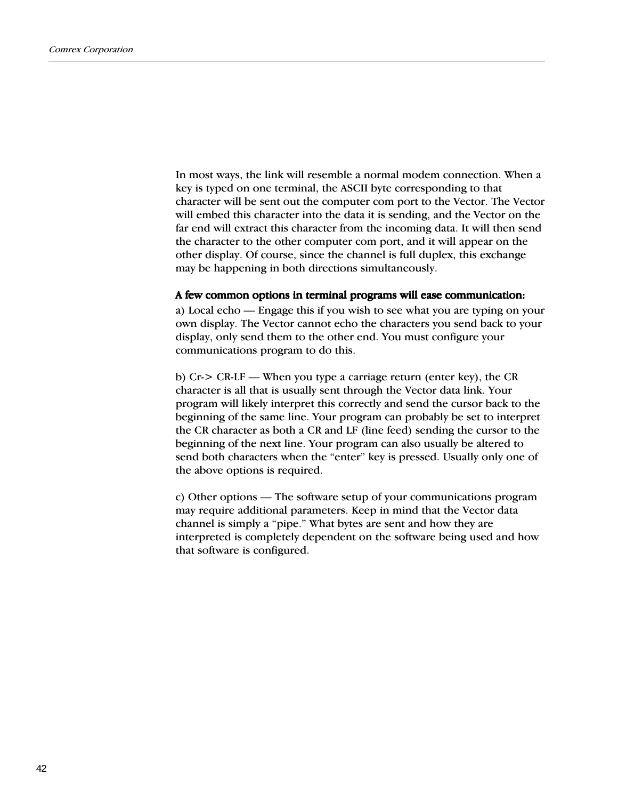In most ways, the link will resemble a normal modem connection. When a key is typed on one terminal, the ASCII byte corresponding to that character will be sent out the computer com port to the Vector. The Vector will embed this character into the data it is sending, and the Vector on the far end will extract this character from the incoming data. It will then send the character to the other computer com port, and it will appear on the other display. Of course, since the channel is full duplex, this exchange may be happening in both directions simultaneously.

## A few common options in terminal programs will ease communication:

a) Local echo — Engage this if you wish to see what you are typing on your own display. The Vector cannot echo the characters you send back to your display, only send them to the other end. You must configure your communications program to do this.

b) Cr-> CR-LF When you type a carriage return (enter key), the CR character is all that is usually sent through the Vector data link. Your program will likely interpret this correctly and send the cursor back to the beginning of the same line. Your program can probably be set to interpret the CR character as both a CR and LF (line feed) sending the cursor to the beginning of the next line. Your program can also usually be altered to send both characters when the "enter" key is pressed. Usually only one of the above options is required.

c) Other options — The software setup of your communications program may require additional parameters. Keep in mind that the Vector data channel is simply a "pipe." What bytes are sent and how they are interpreted is completely dependent on the software being used and how that software is configured.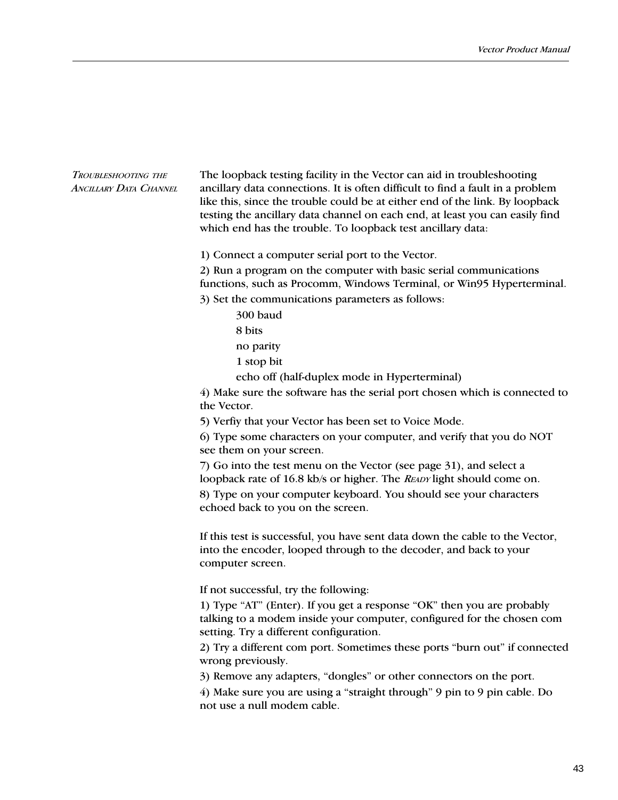### TROUBLESHOOTING THE ANCILLARY DATA CHANNEL

The loopback testing facility in the Vector can aid in troubleshooting ancillary data connections. It is often difficult to find a fault in a problem like this, since the trouble could be at either end of the link. By loopback testing the ancillary data channel on each end, at least you can easily find which end has the trouble. To loopback test ancillary data:

1) Connect a computer serial port to the Vector.

2) Run a program on the computer with basic serial communications functions, such as Procomm, Windows Terminal, or Win95 Hyperterminal.

3) Set the communications parameters as follows:

300 baud 8 bits no parity 1 stop bit

echo off (half-duplex mode in Hyperterminal)

4) Make sure the software has the serial port chosen which is connected to the Vector.

5) Verfiy that your Vector has been set to Voice Mode.

6) Type some characters on your computer, and verify that you do NOT see them on your screen.

7) Go into the test menu on the Vector (see page 31), and select a loopback rate of 16.8 kb/s or higher. The READY light should come on. 8) Type on your computer keyboard. You should see your characters echoed back to you on the screen.

If this test is successful, you have sent data down the cable to the Vector, into the encoder, looped through to the decoder, and back to your computer screen.

If not successful, try the following:

1) Type "AT" (Enter). If you get a response "OK" then you are probably talking to a modem inside your computer, configured for the chosen com setting. Try a different configuration.

2) Try a different com port. Sometimes these ports "burn out" if connected wrong previously.

3) Remove any adapters, "dongles" or other connectors on the port.

4) Make sure you are using a "straight through" 9 pin to 9 pin cable. Do not use a null modem cable.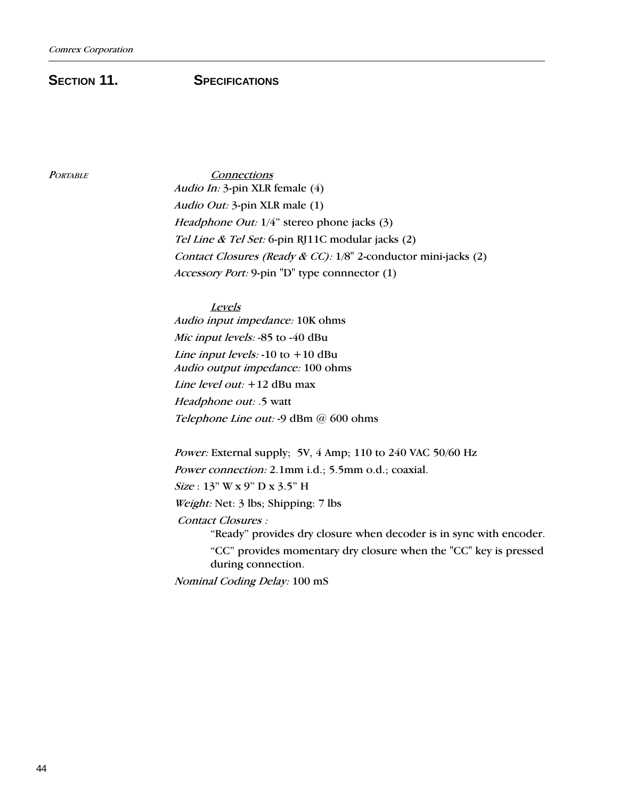## **SECTION 11.** SPECIFICATIONS

PORTABLE Connections Audio In: 3-pin XLR female (4) Audio Out: 3-pin XLR male (1) Headphone Out:  $1/4$ " stereo phone jacks (3) Tel Line & Tel Set: 6-pin RJ11C modular jacks (2) Contact Closures (Ready & CC): 1/8" 2-conductor mini-jacks (2) Accessory Port: 9-pin "D" type connnector (1)

> Levels Audio input impedance: 10K ohms Mic input levels: -85 to -40 dBu Line input levels:  $-10$  to  $+10$  dBu Audio output impedance: 100 ohms Line level out: +12 dBu max Headphone out: .5 watt Telephone Line out: -9 dBm @ 600 ohms

Power: External supply; 5V, 4 Amp; 110 to 240 VAC 50/60 Hz Power connection: 2.1mm i.d.; 5.5mm o.d.; coaxial.  $Size: 13" W x 9" D x 3.5" H$ Weight: Net: 3 lbs; Shipping: 7 lbs Contact Closures : "Ready" provides dry closure when decoder is in sync with encoder. "CC" provides momentary dry closure when the "CC" key is pressed during connection.

Nominal Coding Delay: 100 mS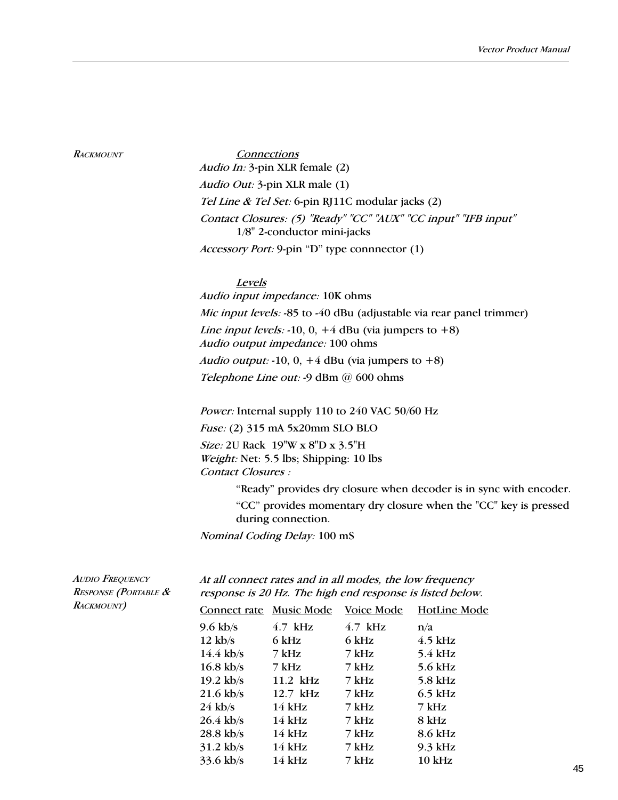#### **RACKMOUNT**

**Connections** Audio In: 3-pin XLR female (2) Audio Out: 3-pin XLR male (1) Tel Line & Tel Set: 6-pin RJ11C modular jacks (2) Contact Closures: (5) "Ready" "CC" "AUX" "CC input" "IFB input" 1/8" 2-conductor mini-jacks Accessory Port: 9-pin "D" type connnector (1)

### Levels

Audio input impedance: 10K ohms Mic input levels: -85 to -40 dBu (adjustable via rear panel trimmer) Line input levels: -10, 0,  $+4$  dBu (via jumpers to  $+8$ ) Audio output impedance: 100 ohms Audio output: -10, 0,  $+4$  dBu (via jumpers to  $+8$ ) Telephone Line out: -9 dBm @ 600 ohms

Power: Internal supply 110 to 240 VAC 50/60 Hz Fuse: (2) 315 mA 5x20mm SLO BLO Size: 2U Rack 19"W x 8"D x 3.5"H Weight: Net: 5.5 lbs; Shipping: 10 lbs Contact Closures :

> "Ready" provides dry closure when decoder is in sync with encoder. "CC" provides momentary dry closure when the "CC" key is pressed during connection.

Nominal Coding Delay: 100 mS

| <b>AUDIO FREQUENCY</b><br><b>RESPONSE (PORTABLE &amp;</b><br><b>RACKMOUNT</b> ) | At all connect rates and in all modes, the low frequency<br>response is 20 Hz. The high end response is listed below. |                         |            |              |  |
|---------------------------------------------------------------------------------|-----------------------------------------------------------------------------------------------------------------------|-------------------------|------------|--------------|--|
|                                                                                 |                                                                                                                       | Connect rate Music Mode | Voice Mode | HotLine Mode |  |
|                                                                                 | $9.6 \text{ kb/s}$                                                                                                    | 4.7 kHz                 | 4.7 kHz    | n/a          |  |
|                                                                                 | $12 \text{ kb/s}$                                                                                                     | 6 kHz                   | 6 kHz      | $4.5$ kHz    |  |
|                                                                                 | $14.4$ kb/s                                                                                                           | 7 kHz                   | 7 kHz      | $5.4$ kHz    |  |
|                                                                                 | $16.8$ kb/s                                                                                                           | 7 kHz                   | 7 kHz      | $5.6$ kHz    |  |
|                                                                                 | $19.2$ kb/s                                                                                                           | 11.2 kHz                | 7 kHz      | $5.8$ kHz    |  |
|                                                                                 | $21.6$ kb/s                                                                                                           | $12.7$ kHz              | 7 kHz      | $6.5$ kHz    |  |
|                                                                                 | $24$ kb/s                                                                                                             | $14$ kHz                | 7 kHz      | 7 kHz        |  |
|                                                                                 | $26.4$ kb/s                                                                                                           | $14$ kHz                | 7 kHz      | 8 kHz        |  |
|                                                                                 | $28.8$ kb/s                                                                                                           | $14$ kHz                | 7 kHz      | 8.6 kHz      |  |
|                                                                                 | $31.2$ kb/s                                                                                                           | $14$ kHz                | 7 kHz      | $9.3$ kHz    |  |
|                                                                                 | $33.6$ kb/s                                                                                                           | $14$ kHz                | 7 kHz      | $10$ kHz     |  |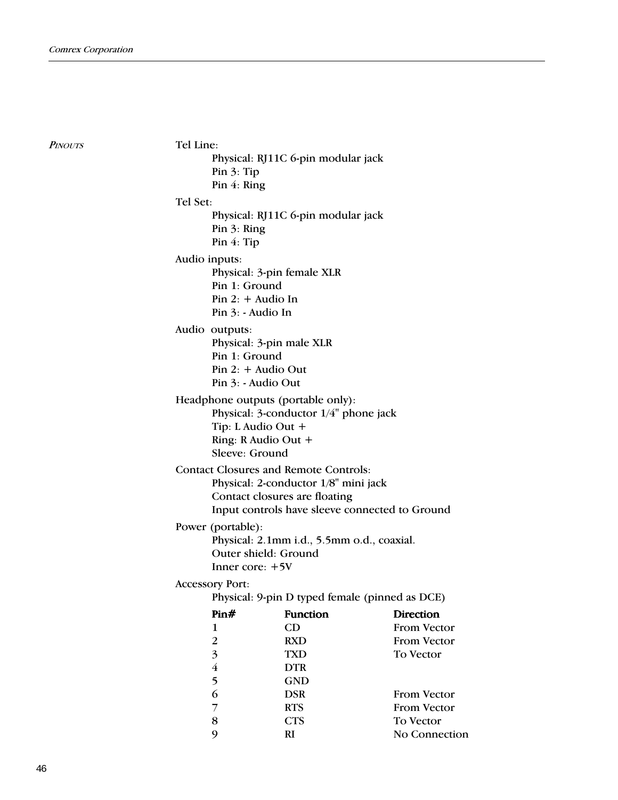**PINOUTS** 

Tel Line: Physical: RJ11C 6-pin modular jack Pin 3: Tip Pin 4: Ring Tel Set: Physical: RJ11C 6-pin modular jack Pin 3: Ring Pin 4: Tip Audio inputs: Physical: 3-pin female XLR Pin 1: Ground Pin 2: + Audio In Pin 3: - Audio In Audio outputs: Physical: 3-pin male XLR Pin 1: Ground Pin 2: + Audio Out Pin 3: - Audio Out Headphone outputs (portable only): Physical: 3-conductor 1/4" phone jack Tip: L Audio Out + Ring: R Audio Out + Sleeve: Ground Contact Closures and Remote Controls: Physical: 2-conductor 1/8" mini jack Contact closures are floating Input controls have sleeve connected to Ground Power (portable): Physical: 2.1mm i.d., 5.5mm o.d., coaxial. Outer shield: Ground Inner core: +5V Accessory Port: Physical: 9-pin D typed female (pinned as DCE) Pin# Function Direction 1 CD From Vector 2 RXD From Vector 3 TXD To Vector 4 DTR 5 GND 6 DSR From Vector 7 RTS From Vector 8 CTS To Vector

9 RI No Connection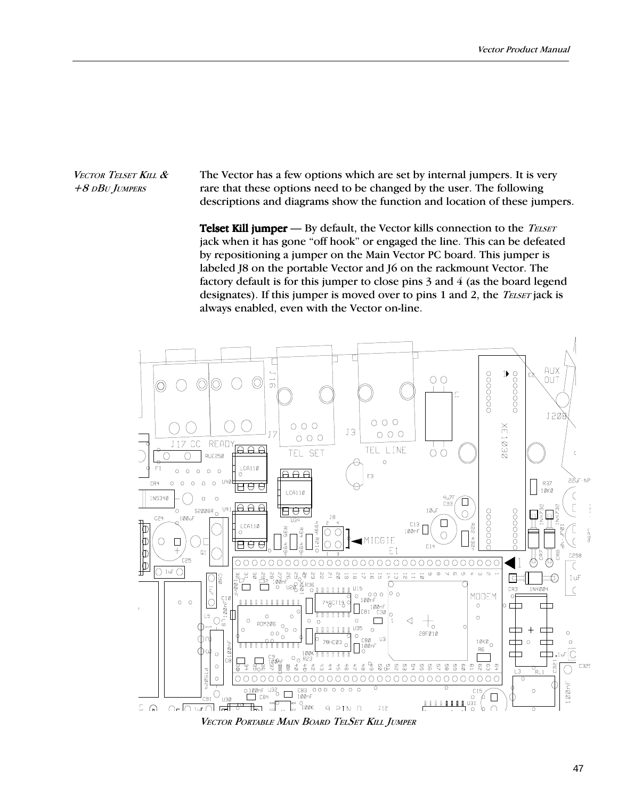VECTOR TELSET KILL & +8 DBU JUMPERS

The Vector has a few options which are set by internal jumpers. It is very rare that these options need to be changed by the user. The following descriptions and diagrams show the function and location of these jumpers.

**Telset Kill jumper**  $-$  By default, the Vector kills connection to the *TELSET* jack when it has gone "off hook" or engaged the line. This can be defeated by repositioning a jumper on the Main Vector PC board. This jumper is labeled J8 on the portable Vector and J6 on the rackmount Vector. The factory default is for this jumper to close pins 3 and 4 (as the board legend designates). If this jumper is moved over to pins 1 and 2, the *TELSET* jack is always enabled, even with the Vector on-line.



VECTOR PORTABLE MAIN BOARD TELSET KILL JUMPER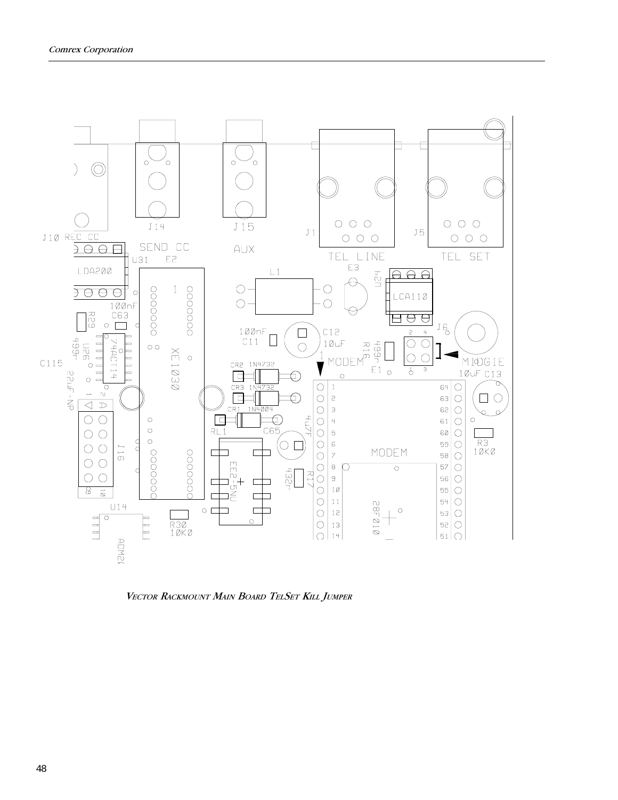

VECTOR RACKMOUNT MAIN BOARD TELSET KILL JUMPER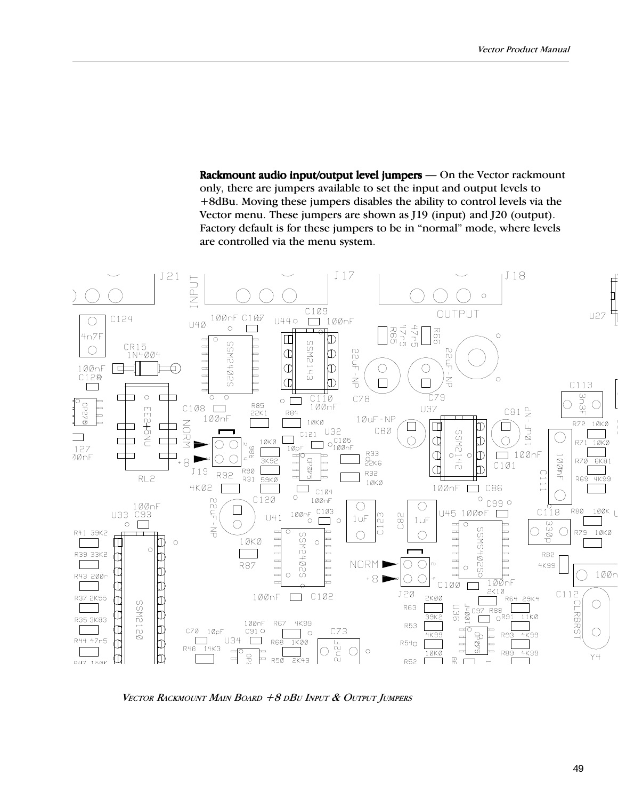Rackmount audio input/output level jumpers — On the Vector rackmount only, there are jumpers available to set the input and output levels to +8dBu. Moving these jumpers disables the ability to control levels via the Vector menu. These jumpers are shown as J19 (input) and J20 (output). Factory default is for these jumpers to be in "normal" mode, where levels are controlled via the menu system.



VECTOR RACKMOUNT MAIN BOARD +8 DBU INPUT & OUTPUT JUMPERS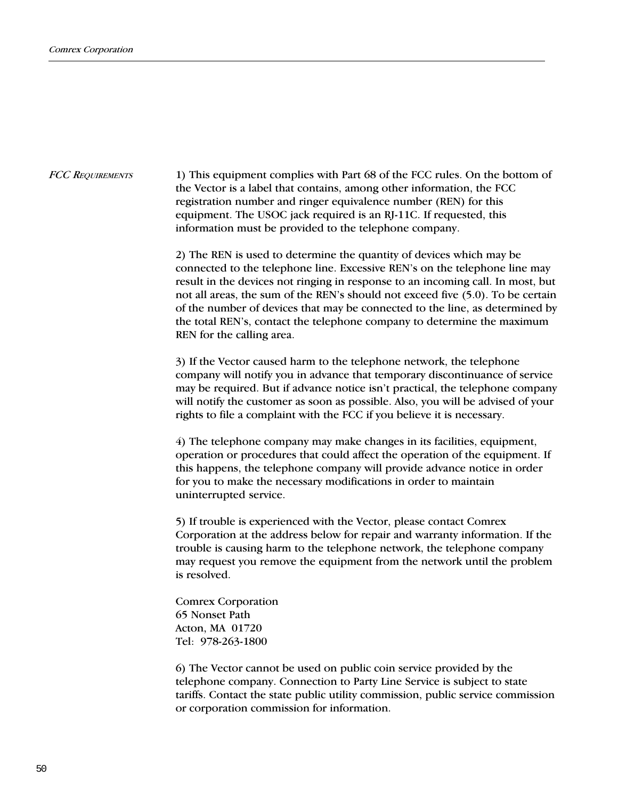1) This equipment complies with Part 68 of the FCC rules. On the bottom of the Vector is a label that contains, among other information, the FCC registration number and ringer equivalence number (REN) for this equipment. The USOC jack required is an RJ-11C. If requested, this information must be provided to the telephone company. FCC REQUIREMENTS

> 2) The REN is used to determine the quantity of devices which may be connected to the telephone line. Excessive REN's on the telephone line may result in the devices not ringing in response to an incoming call. In most, but not all areas, the sum of the REN's should not exceed five (5.0). To be certain of the number of devices that may be connected to the line, as determined by the total REN's, contact the telephone company to determine the maximum REN for the calling area.

> 3) If the Vector caused harm to the telephone network, the telephone company will notify you in advance that temporary discontinuance of service may be required. But if advance notice isn't practical, the telephone company will notify the customer as soon as possible. Also, you will be advised of your rights to file a complaint with the FCC if you believe it is necessary.

4) The telephone company may make changes in its facilities, equipment, operation or procedures that could affect the operation of the equipment. If this happens, the telephone company will provide advance notice in order for you to make the necessary modifications in order to maintain uninterrupted service.

5) If trouble is experienced with the Vector, please contact Comrex Corporation at the address below for repair and warranty information. If the trouble is causing harm to the telephone network, the telephone company may request you remove the equipment from the network until the problem is resolved.

Comrex Corporation 65 Nonset Path Acton, MA 01720 Tel: 978-263-1800

6) The Vector cannot be used on public coin service provided by the telephone company. Connection to Party Line Service is subject to state tariffs. Contact the state public utility commission, public service commission or corporation commission for information.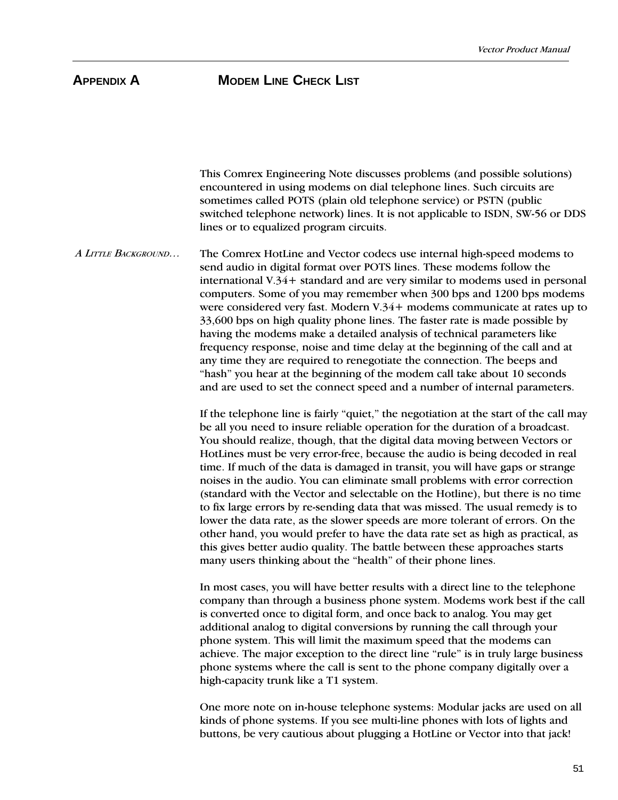A LITTLE BACKGROUND... This Comrex Engineering Note discusses problems (and possible solutions) encountered in using modems on dial telephone lines. Such circuits are sometimes called POTS (plain old telephone service) or PSTN (public switched telephone network) lines. It is not applicable to ISDN, SW-56 or DDS lines or to equalized program circuits. The Comrex HotLine and Vector codecs use internal high-speed modems to send audio in digital format over POTS lines. These modems follow the international V.34+ standard and are very similar to modems used in personal computers. Some of you may remember when 300 bps and 1200 bps modems were considered very fast. Modern V.34+ modems communicate at rates up to 33,600 bps on high quality phone lines. The faster rate is made possible by having the modems make a detailed analysis of technical parameters like frequency response, noise and time delay at the beginning of the call and at any time they are required to renegotiate the connection. The beeps and "hash" you hear at the beginning of the modem call take about 10 seconds and are used to set the connect speed and a number of internal parameters. If the telephone line is fairly "quiet," the negotiation at the start of the call may be all you need to insure reliable operation for the duration of a broadcast. You should realize, though, that the digital data moving between Vectors or HotLines must be very error-free, because the audio is being decoded in real time. If much of the data is damaged in transit, you will have gaps or strange noises in the audio. You can eliminate small problems with error correction (standard with the Vector and selectable on the Hotline), but there is no time to fix large errors by re-sending data that was missed. The usual remedy is to lower the data rate, as the slower speeds are more tolerant of errors. On the other hand, you would prefer to have the data rate set as high as practical, as this gives better audio quality. The battle between these approaches starts many users thinking about the "health" of their phone lines. In most cases, you will have better results with a direct line to the telephone company than through a business phone system. Modems work best if the call is converted once to digital form, and once back to analog. You may get additional analog to digital conversions by running the call through your phone system. This will limit the maximum speed that the modems can achieve. The major exception to the direct line "rule" is in truly large business phone systems where the call is sent to the phone company digitally over a high-capacity trunk like a T1 system.

One more note on in-house telephone systems: Modular jacks are used on all kinds of phone systems. If you see multi-line phones with lots of lights and buttons, be very cautious about plugging a HotLine or Vector into that jack!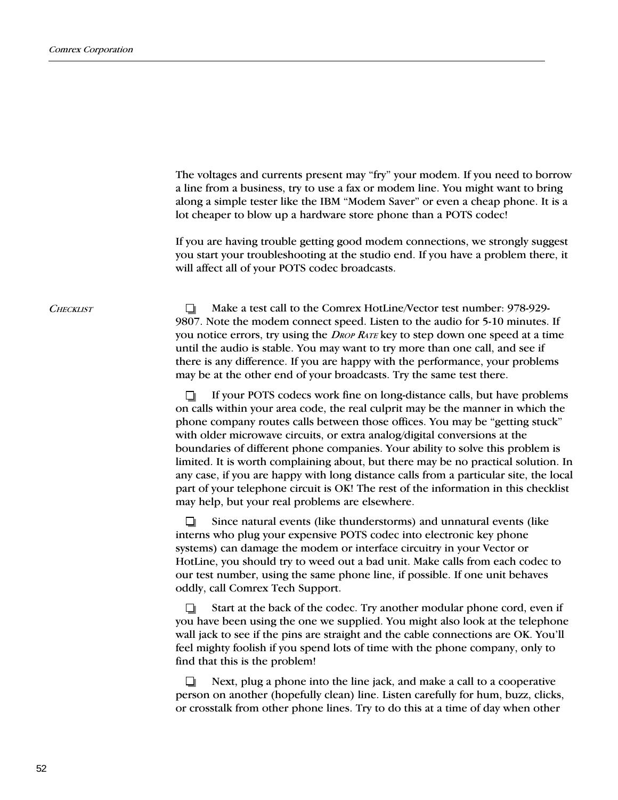|                  | The voltages and currents present may "fry" your modem. If you need to borrow<br>a line from a business, try to use a fax or modem line. You might want to bring<br>along a simple tester like the IBM "Modem Saver" or even a cheap phone. It is a<br>lot cheaper to blow up a hardware store phone than a POTS codec!                                                                                                                                                                 |
|------------------|-----------------------------------------------------------------------------------------------------------------------------------------------------------------------------------------------------------------------------------------------------------------------------------------------------------------------------------------------------------------------------------------------------------------------------------------------------------------------------------------|
|                  | If you are having trouble getting good modem connections, we strongly suggest<br>you start your troubleshooting at the studio end. If you have a problem there, it<br>will affect all of your POTS codec broadcasts.                                                                                                                                                                                                                                                                    |
| <b>CHECKLIST</b> | Make a test call to the Comrex HotLine/Vector test number: 978-929-<br>9807. Note the modem connect speed. Listen to the audio for 5-10 minutes. If<br>you notice errors, try using the <i>DROP RATE</i> key to step down one speed at a time<br>until the audio is stable. You may want to try more than one call, and see if<br>there is any difference. If you are happy with the performance, your problems<br>may be at the other end of your broadcasts. Try the same test there. |
|                  | If your POTS codecs work fine on long-distance calls, but have problems<br>on calls within your area code, the real culprit may be the manner in which the                                                                                                                                                                                                                                                                                                                              |

phone company routes calls between those offices. You may be "getting stuck" with older microwave circuits, or extra analog/digital conversions at the boundaries of different phone companies. Your ability to solve this problem is limited. It is worth complaining about, but there may be no practical solution. In any case, if you are happy with long distance calls from a particular site, the local part of your telephone circuit is OK! The rest of the information in this checklist may help, but your real problems are elsewhere.

O Since natural events (like thunderstorms) and unnatural events (like interns who plug your expensive POTS codec into electronic key phone systems) can damage the modem or interface circuitry in your Vector or HotLine, you should try to weed out a bad unit. Make calls from each codec to our test number, using the same phone line, if possible. If one unit behaves oddly, call Comrex Tech Support.

▫ Start at the back of the codec. Try another modular phone cord, even if you have been using the one we supplied. You might also look at the telephone wall jack to see if the pins are straight and the cable connections are OK. You'll feel mighty foolish if you spend lots of time with the phone company, only to find that this is the problem!

O. Next, plug a phone into the line jack, and make a call to a cooperative person on another (hopefully clean) line. Listen carefully for hum, buzz, clicks, or crosstalk from other phone lines. Try to do this at a time of day when other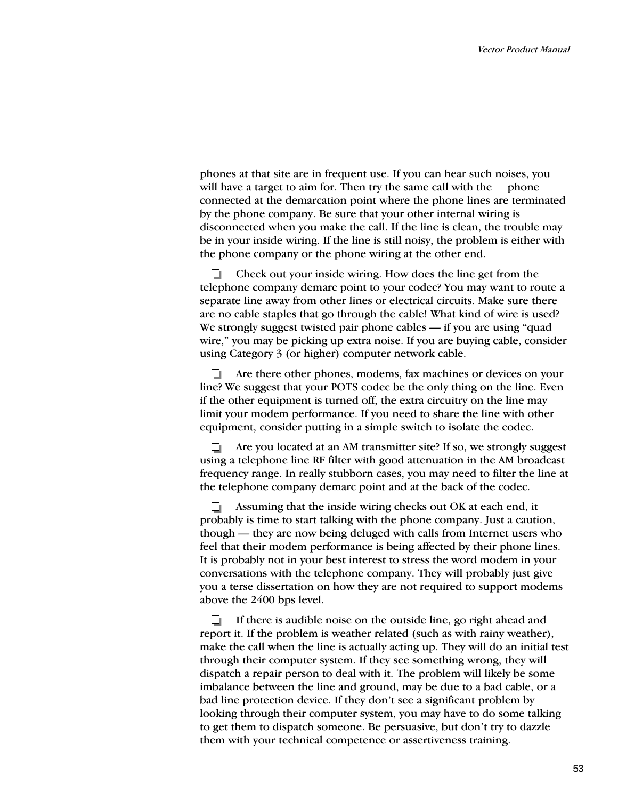phones at that site are in frequent use. If you can hear such noises, you will have a target to aim for. Then try the same call with the phone connected at the demarcation point where the phone lines are terminated by the phone company. Be sure that your other internal wiring is disconnected when you make the call. If the line is clean, the trouble may be in your inside wiring. If the line is still noisy, the problem is either with the phone company or the phone wiring at the other end.

Check out your inside wiring. How does the line get from the 0 telephone company demarc point to your codec? You may want to route a separate line away from other lines or electrical circuits. Make sure there are no cable staples that go through the cable! What kind of wire is used? We strongly suggest twisted pair phone cables  $-$  if you are using "quad wire," you may be picking up extra noise. If you are buying cable, consider using Category 3 (or higher) computer network cable.

Are there other phones, modems, fax machines or devices on your . line? We suggest that your POTS codec be the only thing on the line. Even if the other equipment is turned off, the extra circuitry on the line may limit your modem performance. If you need to share the line with other equipment, consider putting in a simple switch to isolate the codec.

Are you located at an AM transmitter site? If so, we strongly suggest  $\Box$ using a telephone line RF filter with good attenuation in the AM broadcast frequency range. In really stubborn cases, you may need to filter the line at the telephone company demarc point and at the back of the codec.

Assuming that the inside wiring checks out OK at each end, it probably is time to start talking with the phone company. Just a caution, though — they are now being deluged with calls from Internet users who feel that their modem performance is being affected by their phone lines. It is probably not in your best interest to stress the word modem in your conversations with the telephone company. They will probably just give you a terse dissertation on how they are not required to support modems above the 2400 bps level.

If there is audible noise on the outside line, go right ahead and n. report it. If the problem is weather related (such as with rainy weather), make the call when the line is actually acting up. They will do an initial test through their computer system. If they see something wrong, they will dispatch a repair person to deal with it. The problem will likely be some imbalance between the line and ground, may be due to a bad cable, or a bad line protection device. If they don't see a significant problem by looking through their computer system, you may have to do some talking to get them to dispatch someone. Be persuasive, but don't try to dazzle them with your technical competence or assertiveness training.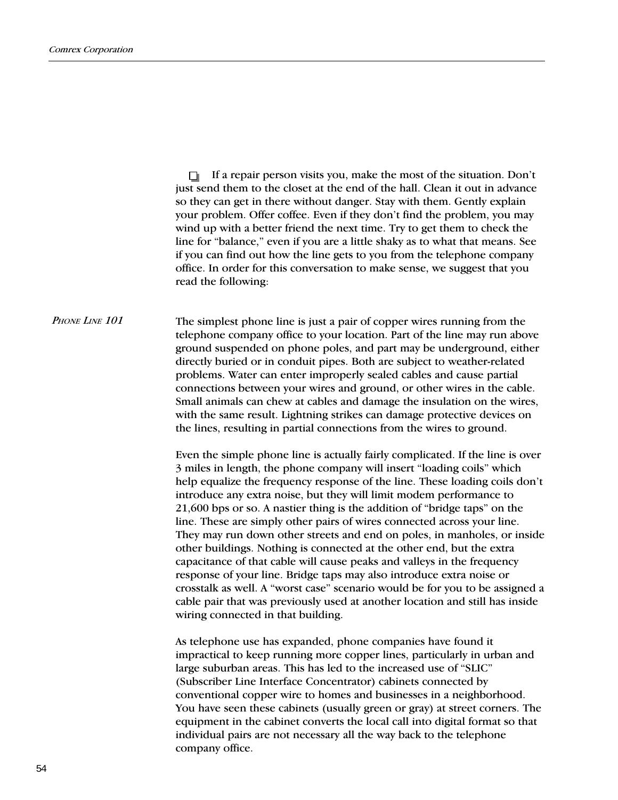$\Box$  If a repair person visits you, make the most of the situation. Don't just send them to the closet at the end of the hall. Clean it out in advance so they can get in there without danger. Stay with them. Gently explain your problem. Offer coffee. Even if they don't find the problem, you may wind up with a better friend the next time. Try to get them to check the line for "balance," even if you are a little shaky as to what that means. See if you can find out how the line gets to you from the telephone company office. In order for this conversation to make sense, we suggest that you read the following:

PHONE LINE 101 The simplest phone line is just a pair of copper wires running from the telephone company office to your location. Part of the line may run above ground suspended on phone poles, and part may be underground, either directly buried or in conduit pipes. Both are subject to weather-related problems. Water can enter improperly sealed cables and cause partial connections between your wires and ground, or other wires in the cable. Small animals can chew at cables and damage the insulation on the wires, with the same result. Lightning strikes can damage protective devices on the lines, resulting in partial connections from the wires to ground.

> Even the simple phone line is actually fairly complicated. If the line is over 3 miles in length, the phone company will insert "loading coils" which help equalize the frequency response of the line. These loading coils don't introduce any extra noise, but they will limit modem performance to  $21,600$  bps or so. A nastier thing is the addition of "bridge taps" on the line. These are simply other pairs of wires connected across your line. They may run down other streets and end on poles, in manholes, or inside other buildings. Nothing is connected at the other end, but the extra capacitance of that cable will cause peaks and valleys in the frequency response of your line. Bridge taps may also introduce extra noise or crosstalk as well. A "worst case" scenario would be for you to be assigned a cable pair that was previously used at another location and still has inside wiring connected in that building.

As telephone use has expanded, phone companies have found it impractical to keep running more copper lines, particularly in urban and large suburban areas. This has led to the increased use of "SLIC" (Subscriber Line Interface Concentrator) cabinets connected by conventional copper wire to homes and businesses in a neighborhood. You have seen these cabinets (usually green or gray) at street corners. The equipment in the cabinet converts the local call into digital format so that individual pairs are not necessary all the way back to the telephone company office.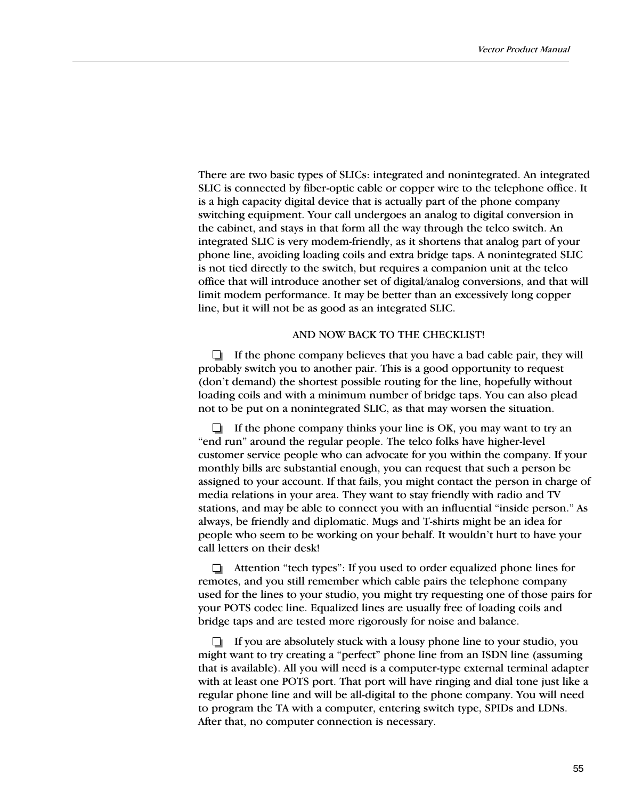There are two basic types of SLICs: integrated and nonintegrated. An integrated SLIC is connected by fiber-optic cable or copper wire to the telephone office. It is a high capacity digital device that is actually part of the phone company switching equipment. Your call undergoes an analog to digital conversion in the cabinet, and stays in that form all the way through the telco switch. An integrated SLIC is very modem-friendly, as it shortens that analog part of your phone line, avoiding loading coils and extra bridge taps. A nonintegrated SLIC is not tied directly to the switch, but requires a companion unit at the telco office that will introduce another set of digital/analog conversions, and that will limit modem performance. It may be better than an excessively long copper line, but it will not be as good as an integrated SLIC.

## AND NOW BACK TO THE CHECKLIST!

 $\Box$  If the phone company believes that you have a bad cable pair, they will probably switch you to another pair. This is a good opportunity to request (don't demand) the shortest possible routing for the line, hopefully without loading coils and with a minimum number of bridge taps. You can also plead not to be put on a nonintegrated SLIC, as that may worsen the situation.

 $\Box$  If the phone company thinks your line is OK, you may want to try an "end run" around the regular people. The telco folks have higher-level customer service people who can advocate for you within the company. If your monthly bills are substantial enough, you can request that such a person be assigned to your account. If that fails, you might contact the person in charge of media relations in your area. They want to stay friendly with radio and TV stations, and may be able to connect you with an influential "inside person." As always, be friendly and diplomatic. Mugs and T-shirts might be an idea for people who seem to be working on your behalf. It wouldn't hurt to have your call letters on their desk!

 $\Box$  Attention "tech types": If you used to order equalized phone lines for remotes, and you still remember which cable pairs the telephone company used for the lines to your studio, you might try requesting one of those pairs for your POTS codec line. Equalized lines are usually free of loading coils and bridge taps and are tested more rigorously for noise and balance.

 $\Box$  If you are absolutely stuck with a lousy phone line to your studio, you might want to try creating a "perfect" phone line from an ISDN line (assuming that is available). All you will need is a computer-type external terminal adapter with at least one POTS port. That port will have ringing and dial tone just like a regular phone line and will be all-digital to the phone company. You will need to program the TA with a computer, entering switch type, SPIDs and LDNs. After that, no computer connection is necessary.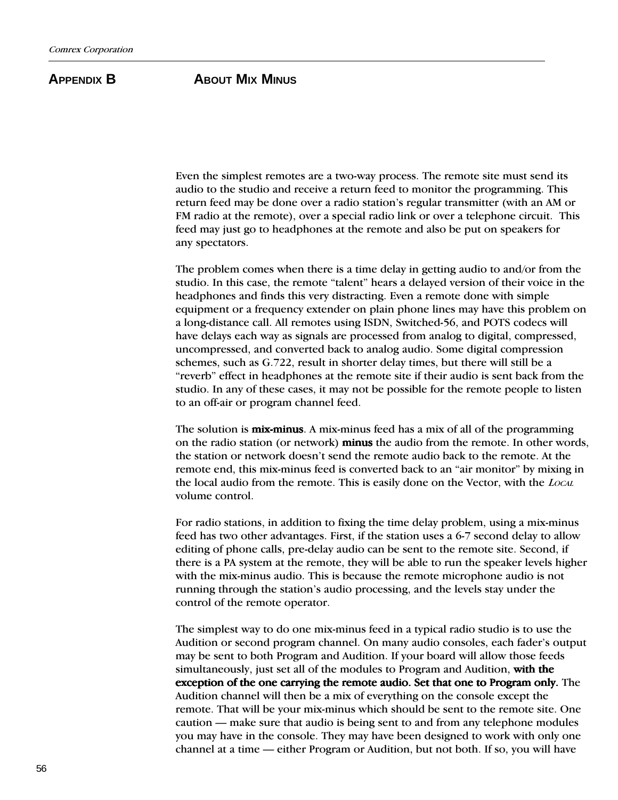## **APPENDIX B ABOUT MIX MINUS**

Even the simplest remotes are a two-way process. The remote site must send its audio to the studio and receive a return feed to monitor the programming. This return feed may be done over a radio station's regular transmitter (with an AM or FM radio at the remote), over a special radio link or over a telephone circuit. This feed may just go to headphones at the remote and also be put on speakers for any spectators.

The problem comes when there is a time delay in getting audio to and/or from the studio. In this case, the remote "talent" hears a delayed version of their voice in the headphones and finds this very distracting. Even a remote done with simple equipment or a frequency extender on plain phone lines may have this problem on a long-distance call. All remotes using ISDN, Switched-56, and POTS codecs will have delays each way as signals are processed from analog to digital, compressed, uncompressed, and converted back to analog audio. Some digital compression schemes, such as G.722, result in shorter delay times, but there will still be a "reverb" effect in headphones at the remote site if their audio is sent back from the studio. In any of these cases, it may not be possible for the remote people to listen to an off-air or program channel feed.

The solution is **mix-minus**. A mix-minus feed has a mix of all of the programming on the radio station (or network) **minus** the audio from the remote. In other words, the station or network doesn't send the remote audio back to the remote. At the remote end, this mix-minus feed is converted back to an "air monitor" by mixing in the local audio from the remote. This is easily done on the Vector, with the LOCAL volume control.

For radio stations, in addition to fixing the time delay problem, using a mix-minus feed has two other advantages. First, if the station uses a 6-7 second delay to allow editing of phone calls, pre-delay audio can be sent to the remote site. Second, if there is a PA system at the remote, they will be able to run the speaker levels higher with the mix-minus audio. This is because the remote microphone audio is not running through the station's audio processing, and the levels stay under the control of the remote operator.

The simplest way to do one mix-minus feed in a typical radio studio is to use the Audition or second program channel. On many audio consoles, each fader's output may be sent to both Program and Audition. If your board will allow those feeds simultaneously, just set all of the modules to Program and Audition, with the exception of the one carrying the remote audio. Set that one to Program only. The Audition channel will then be a mix of everything on the console except the remote. That will be your mix-minus which should be sent to the remote site. One caution — make sure that audio is being sent to and from any telephone modules you may have in the console. They may have been designed to work with only one channel at a time — either Program or Audition, but not both. If so, you will have